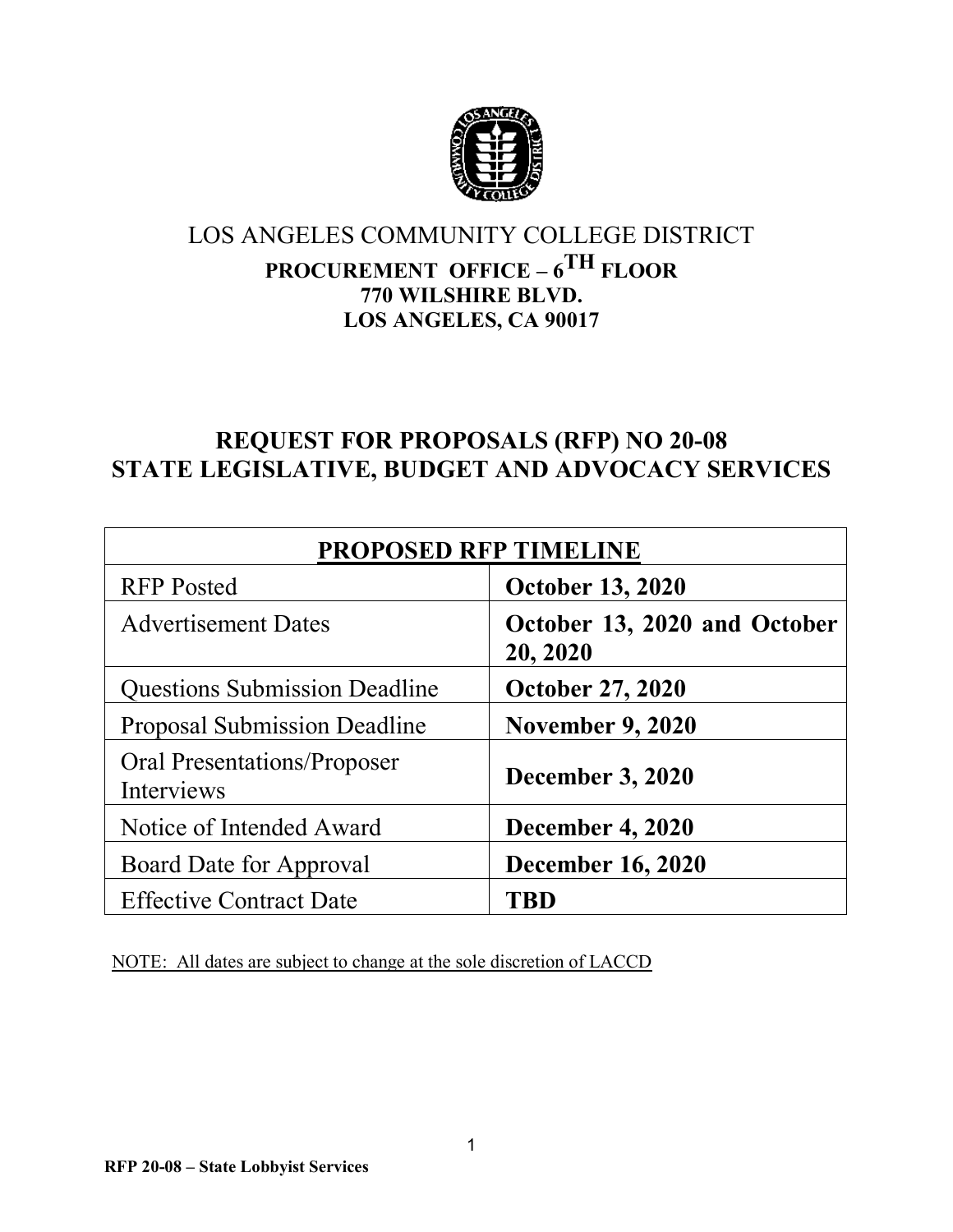

# LOS ANGELES COMMUNITY COLLEGE DISTRICT **PROCUREMENT OFFICE – 6TH FLOOR 770 WILSHIRE BLVD.**

**LOS ANGELES, CA 90017**

# **REQUEST FOR PROPOSALS (RFP) NO 20-08 STATE LEGISLATIVE, BUDGET AND ADVOCACY SERVICES**

| <b>PROPOSED RFP TIMELINE</b>              |                                          |  |
|-------------------------------------------|------------------------------------------|--|
| <b>RFP</b> Posted                         | <b>October 13, 2020</b>                  |  |
| <b>Advertisement Dates</b>                | October 13, 2020 and October<br>20, 2020 |  |
| <b>Questions Submission Deadline</b>      | <b>October 27, 2020</b>                  |  |
| <b>Proposal Submission Deadline</b>       | <b>November 9, 2020</b>                  |  |
| Oral Presentations/Proposer<br>Interviews | <b>December 3, 2020</b>                  |  |
| Notice of Intended Award                  | <b>December 4, 2020</b>                  |  |
| Board Date for Approval                   | <b>December 16, 2020</b>                 |  |
| <b>Effective Contract Date</b>            | TRD                                      |  |

NOTE: All dates are subject to change at the sole discretion of LACCD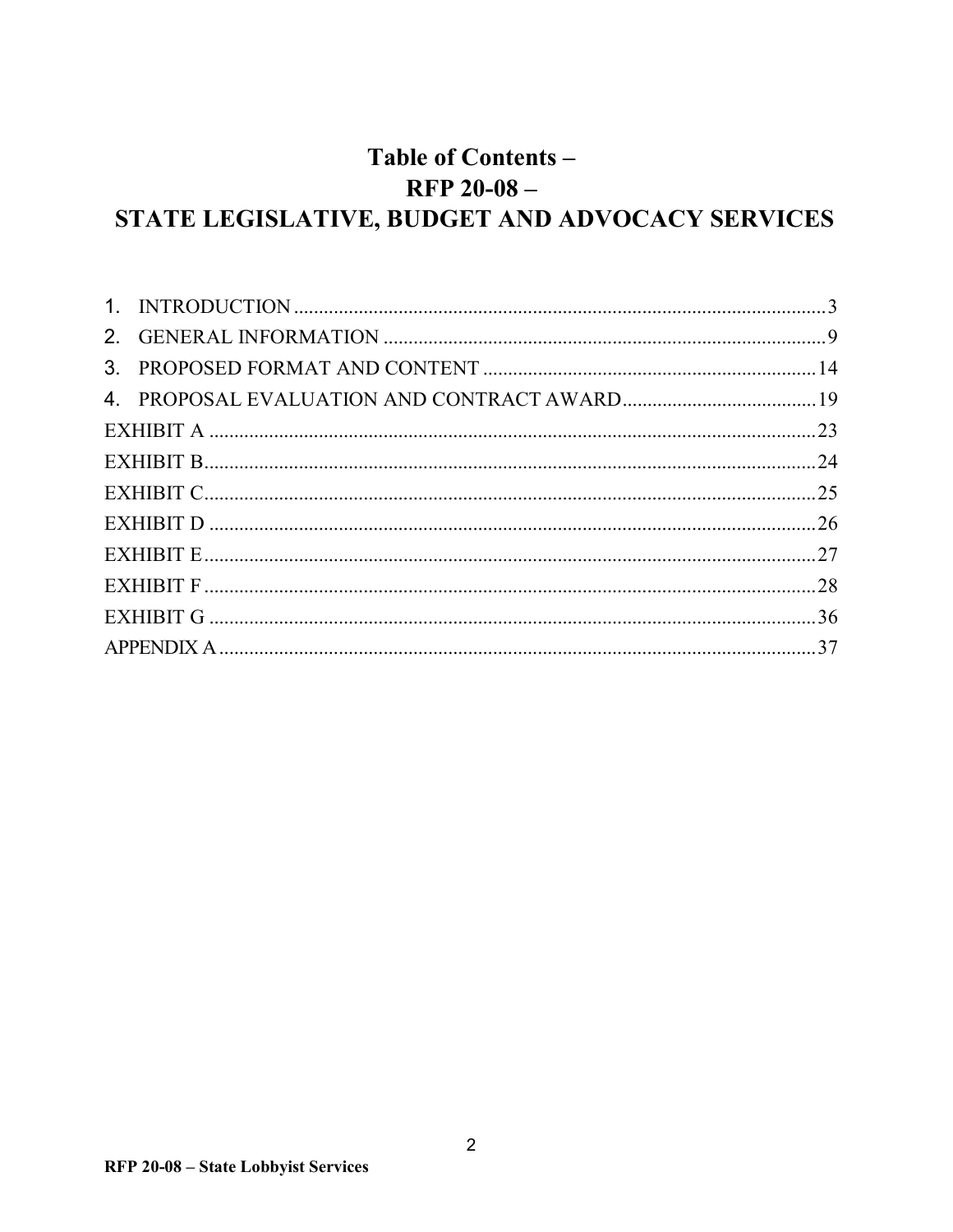# Table of Contents - $RFP 20-08-$ STATE LEGISLATIVE, BUDGET AND ADVOCACY SERVICES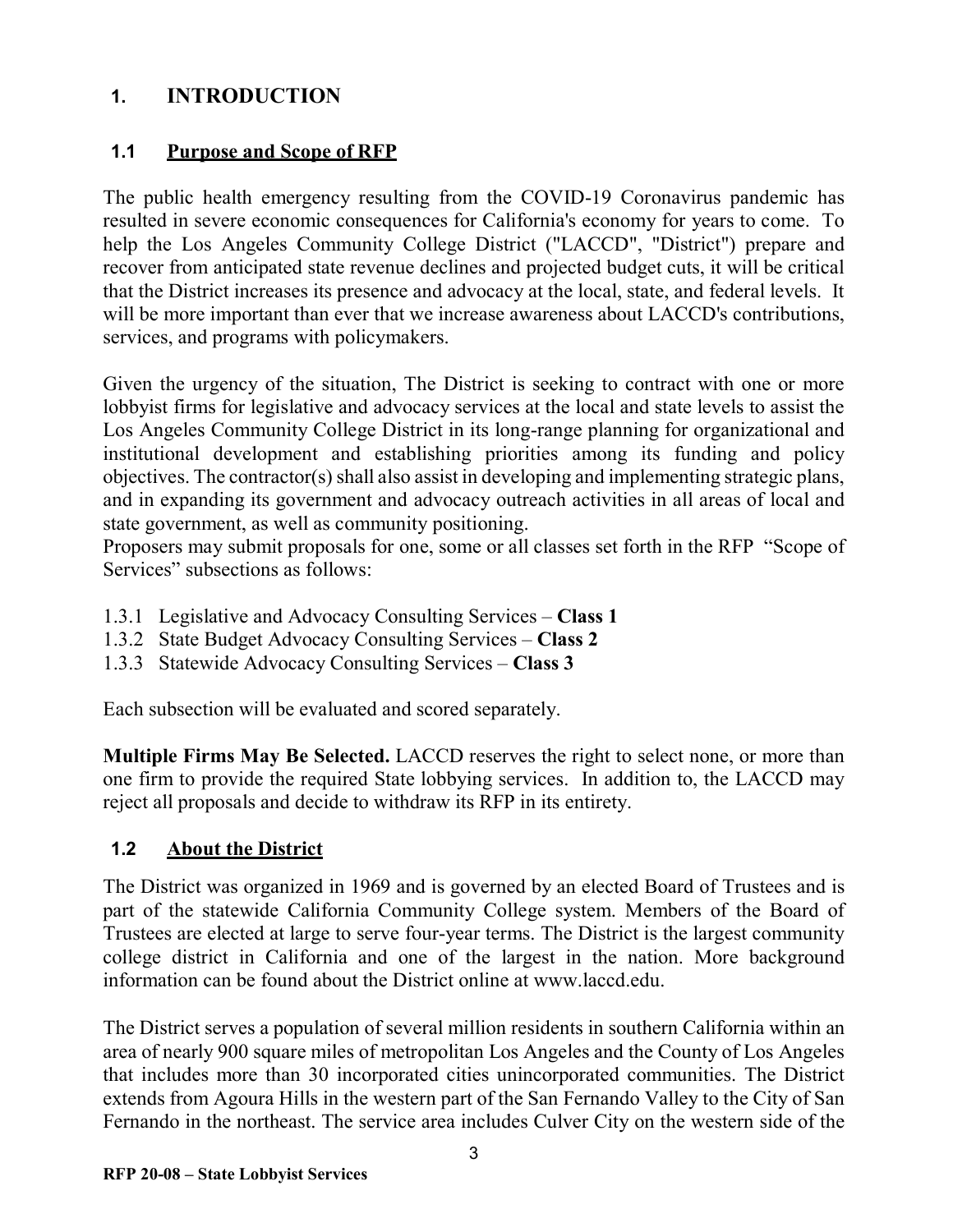## <span id="page-2-0"></span>**1. INTRODUCTION**

## **1.1 Purpose and Scope of RFP**

The public health emergency resulting from the COVID-19 Coronavirus pandemic has resulted in severe economic consequences for California's economy for years to come. To help the Los Angeles Community College District ("LACCD", "District") prepare and recover from anticipated state revenue declines and projected budget cuts, it will be critical that the District increases its presence and advocacy at the local, state, and federal levels. It will be more important than ever that we increase awareness about LACCD's contributions, services, and programs with policymakers.

Given the urgency of the situation, The District is seeking to contract with one or more lobbyist firms for legislative and advocacy services at the local and state levels to assist the Los Angeles Community College District in its long-range planning for organizational and institutional development and establishing priorities among its funding and policy objectives. The contractor(s) shall also assist in developing and implementing strategic plans, and in expanding its government and advocacy outreach activities in all areas of local and state government, as well as community positioning.

Proposers may submit proposals for one, some or all classes set forth in the RFP "Scope of Services" subsections as follows:

- 1.3.1 Legislative and Advocacy Consulting Services **Class 1**
- 1.3.2 State Budget Advocacy Consulting Services **Class 2**
- 1.3.3 Statewide Advocacy Consulting Services **Class 3**

Each subsection will be evaluated and scored separately.

**Multiple Firms May Be Selected.** LACCD reserves the right to select none, or more than one firm to provide the required State lobbying services. In addition to, the LACCD may reject all proposals and decide to withdraw its RFP in its entirety.

## **1.2 About the District**

The District was organized in 1969 and is governed by an elected Board of Trustees and is part of the statewide California Community College system. Members of the Board of Trustees are elected at large to serve four-year terms. The District is the largest community college district in California and one of the largest in the nation. More background information can be found about the District online at www.laccd.edu.

The District serves a population of several million residents in southern California within an area of nearly 900 square miles of metropolitan Los Angeles and the County of Los Angeles that includes more than 30 incorporated cities unincorporated communities. The District extends from Agoura Hills in the western part of the San Fernando Valley to the City of San Fernando in the northeast. The service area includes Culver City on the western side of the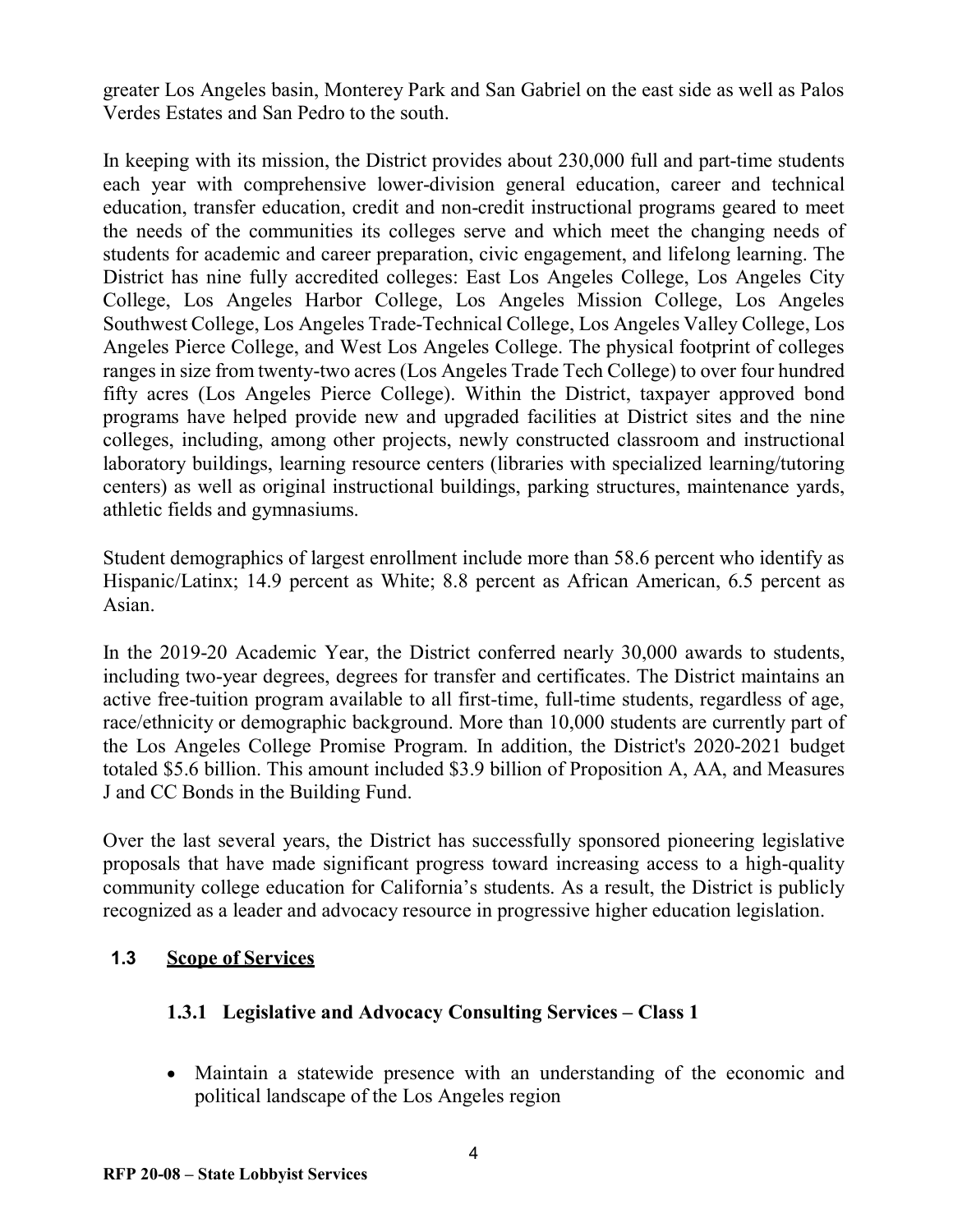greater Los Angeles basin, Monterey Park and San Gabriel on the east side as well as Palos Verdes Estates and San Pedro to the south.

In keeping with its mission, the District provides about 230,000 full and part-time students each year with comprehensive lower-division general education, career and technical education, transfer education, credit and non-credit instructional programs geared to meet the needs of the communities its colleges serve and which meet the changing needs of students for academic and career preparation, civic engagement, and lifelong learning. The District has nine fully accredited colleges: East Los Angeles College, Los Angeles City College, Los Angeles Harbor College, Los Angeles Mission College, Los Angeles Southwest College, Los Angeles Trade-Technical College, Los Angeles Valley College, Los Angeles Pierce College, and West Los Angeles College. The physical footprint of colleges ranges in size from twenty-two acres (Los Angeles Trade Tech College) to over four hundred fifty acres (Los Angeles Pierce College). Within the District, taxpayer approved bond programs have helped provide new and upgraded facilities at District sites and the nine colleges, including, among other projects, newly constructed classroom and instructional laboratory buildings, learning resource centers (libraries with specialized learning/tutoring centers) as well as original instructional buildings, parking structures, maintenance yards, athletic fields and gymnasiums.

Student demographics of largest enrollment include more than 58.6 percent who identify as Hispanic/Latinx; 14.9 percent as White; 8.8 percent as African American, 6.5 percent as Asian.

In the 2019-20 Academic Year, the District conferred nearly 30,000 awards to students, including two-year degrees, degrees for transfer and certificates. The District maintains an active free-tuition program available to all first-time, full-time students, regardless of age, race/ethnicity or demographic background. More than 10,000 students are currently part of the Los Angeles College Promise Program. In addition, the District's 2020-2021 budget totaled \$5.6 billion. This amount included \$3.9 billion of Proposition A, AA, and Measures J and CC Bonds in the Building Fund.

Over the last several years, the District has successfully sponsored pioneering legislative proposals that have made significant progress toward increasing access to a high-quality community college education for California's students. As a result, the District is publicly recognized as a leader and advocacy resource in progressive higher education legislation.

## **1.3 Scope of Services**

## **1.3.1 Legislative and Advocacy Consulting Services – Class 1**

• Maintain a statewide presence with an understanding of the economic and political landscape of the Los Angeles region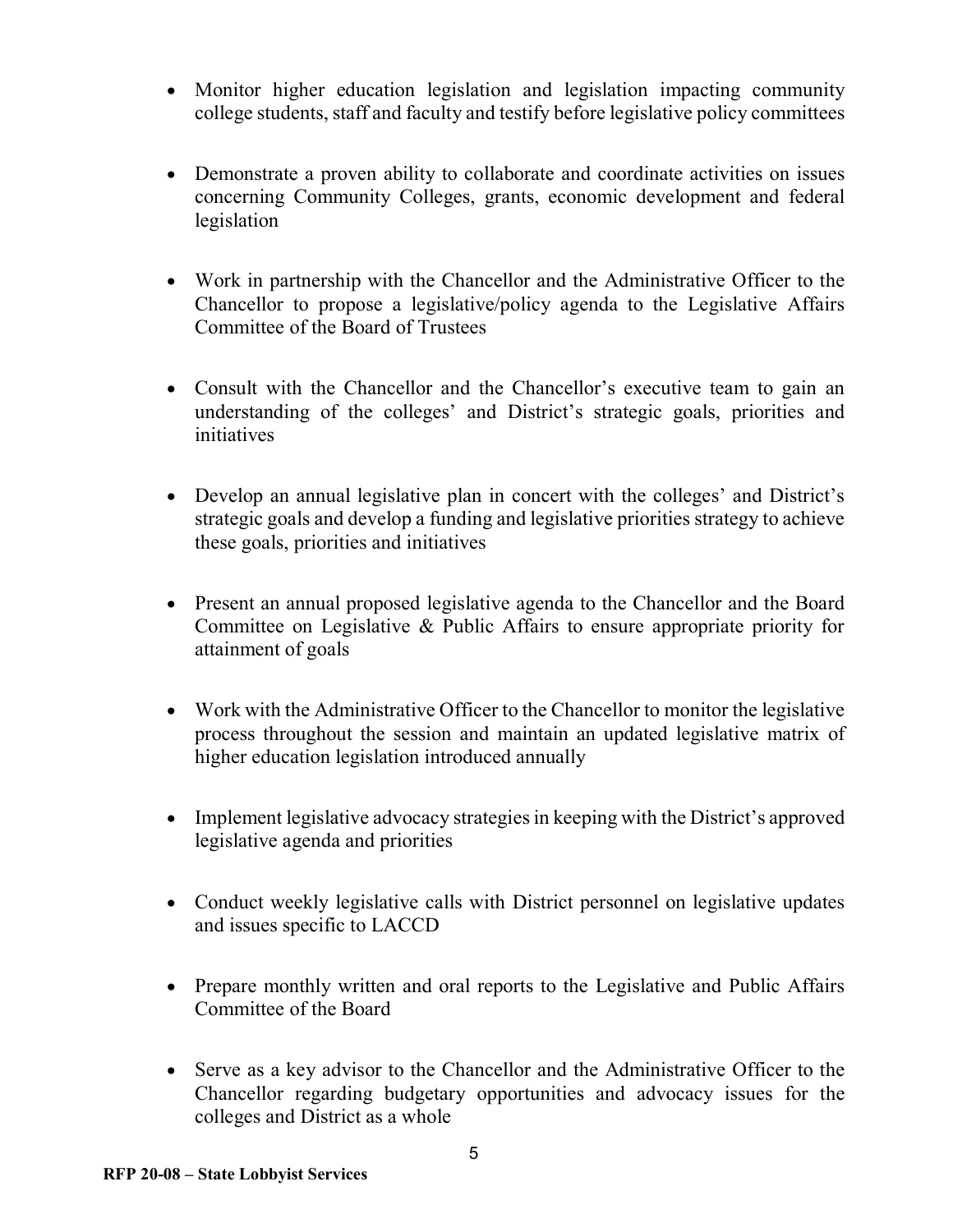- Monitor higher education legislation and legislation impacting community college students, staff and faculty and testify before legislative policy committees
- Demonstrate a proven ability to collaborate and coordinate activities on issues concerning Community Colleges, grants, economic development and federal legislation
- Work in partnership with the Chancellor and the Administrative Officer to the Chancellor to propose a legislative/policy agenda to the Legislative Affairs Committee of the Board of Trustees
- Consult with the Chancellor and the Chancellor's executive team to gain an understanding of the colleges' and District's strategic goals, priorities and initiatives
- Develop an annual legislative plan in concert with the colleges' and District's strategic goals and develop a funding and legislative priorities strategy to achieve these goals, priorities and initiatives
- Present an annual proposed legislative agenda to the Chancellor and the Board Committee on Legislative & Public Affairs to ensure appropriate priority for attainment of goals
- Work with the Administrative Officer to the Chancellor to monitor the legislative process throughout the session and maintain an updated legislative matrix of higher education legislation introduced annually
- Implement legislative advocacy strategies in keeping with the District's approved legislative agenda and priorities
- Conduct weekly legislative calls with District personnel on legislative updates and issues specific to LACCD
- Prepare monthly written and oral reports to the Legislative and Public Affairs Committee of the Board
- Serve as a key advisor to the Chancellor and the Administrative Officer to the Chancellor regarding budgetary opportunities and advocacy issues for the colleges and District as a whole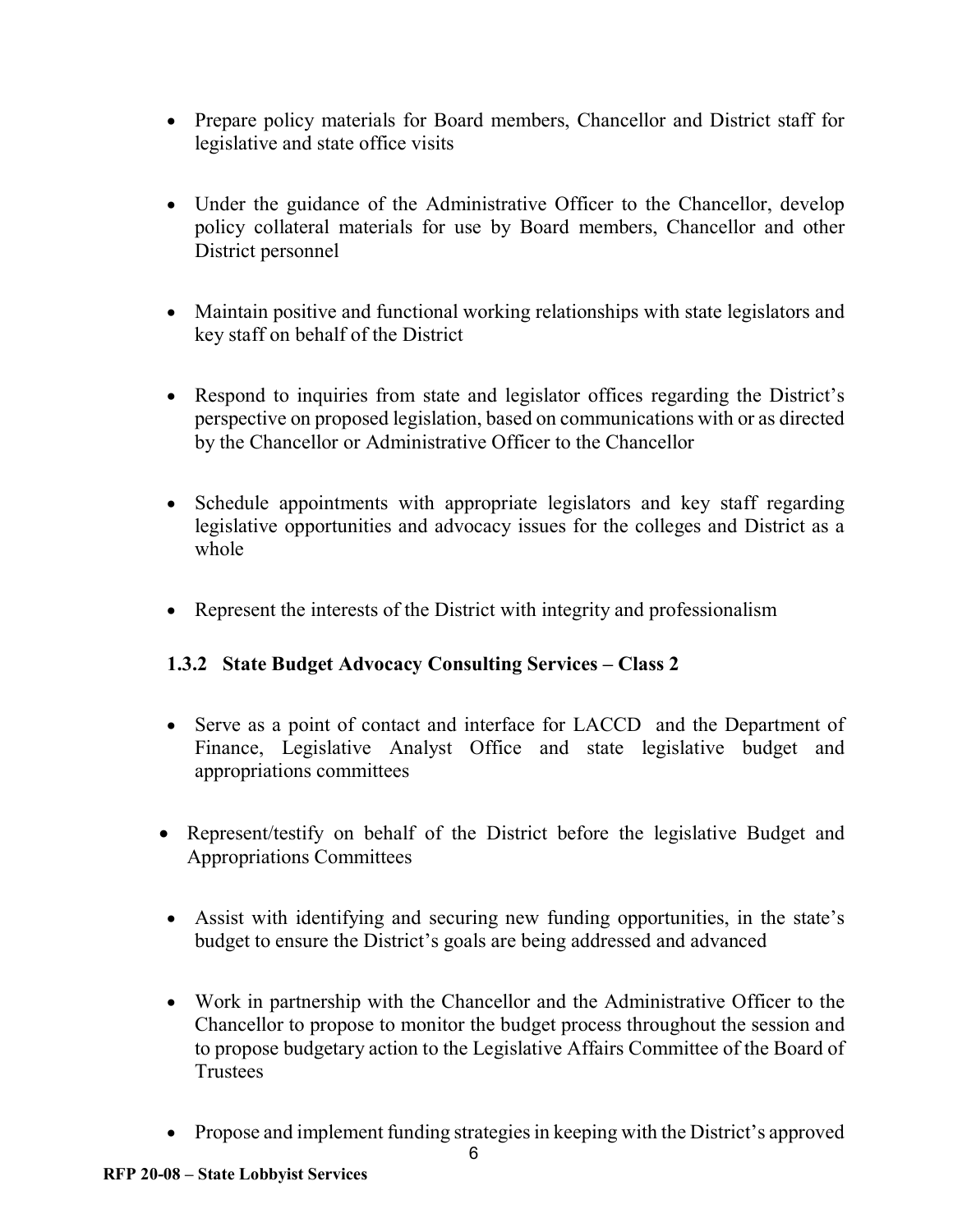- Prepare policy materials for Board members, Chancellor and District staff for legislative and state office visits
- Under the guidance of the Administrative Officer to the Chancellor, develop policy collateral materials for use by Board members, Chancellor and other District personnel
- Maintain positive and functional working relationships with state legislators and key staff on behalf of the District
- Respond to inquiries from state and legislator offices regarding the District's perspective on proposed legislation, based on communications with or as directed by the Chancellor or Administrative Officer to the Chancellor
- Schedule appointments with appropriate legislators and key staff regarding legislative opportunities and advocacy issues for the colleges and District as a whole
- Represent the interests of the District with integrity and professionalism

## **1.3.2 State Budget Advocacy Consulting Services – Class 2**

- Serve as a point of contact and interface for LACCD and the Department of Finance, Legislative Analyst Office and state legislative budget and appropriations committees
- Represent/testify on behalf of the District before the legislative Budget and Appropriations Committees
- Assist with identifying and securing new funding opportunities, in the state's budget to ensure the District's goals are being addressed and advanced
- Work in partnership with the Chancellor and the Administrative Officer to the Chancellor to propose to monitor the budget process throughout the session and to propose budgetary action to the Legislative Affairs Committee of the Board of **Trustees**
- Propose and implement funding strategies in keeping with the District's approved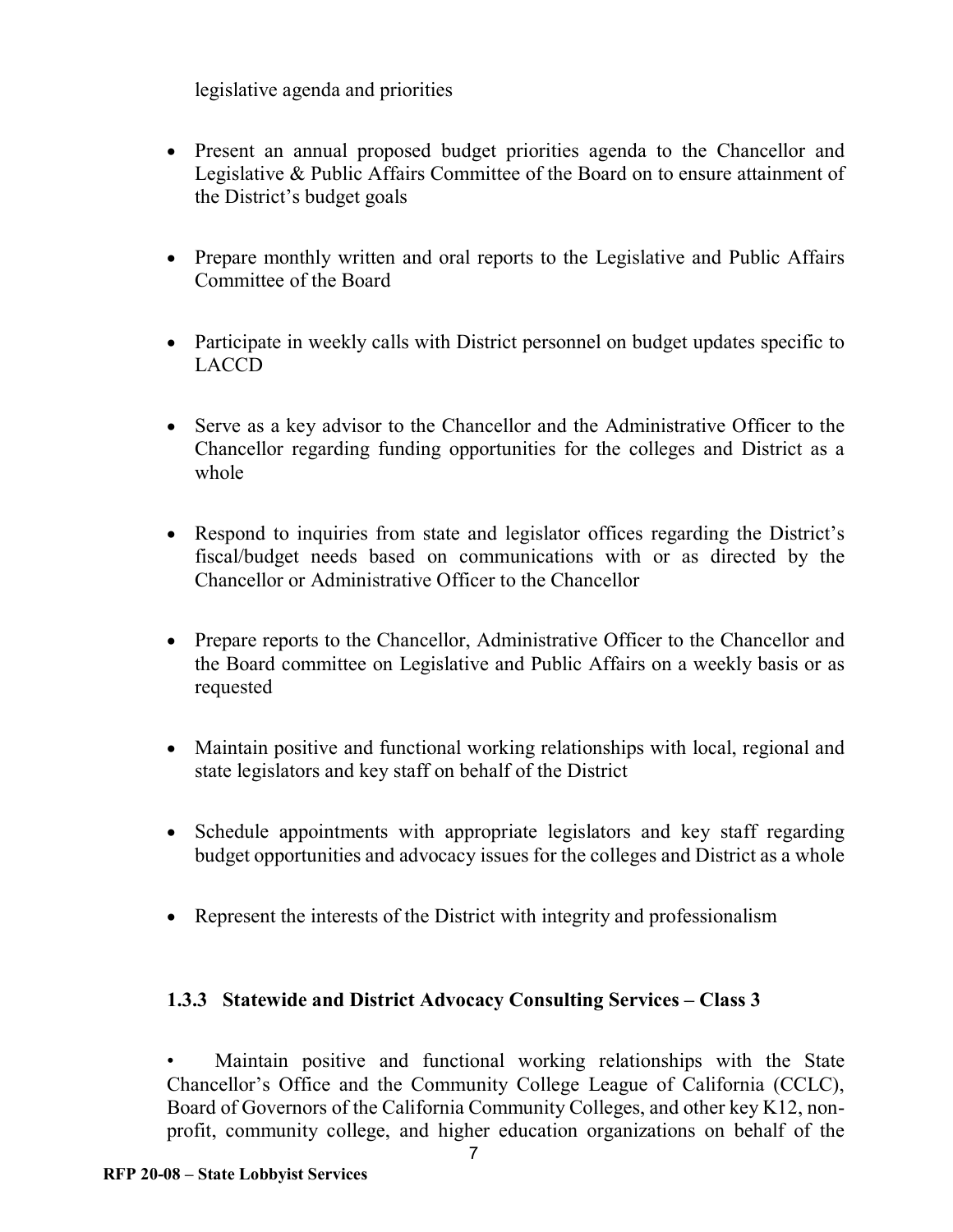legislative agenda and priorities

- Present an annual proposed budget priorities agenda to the Chancellor and Legislative & Public Affairs Committee of the Board on to ensure attainment of the District's budget goals
- Prepare monthly written and oral reports to the Legislative and Public Affairs Committee of the Board
- Participate in weekly calls with District personnel on budget updates specific to LACCD
- Serve as a key advisor to the Chancellor and the Administrative Officer to the Chancellor regarding funding opportunities for the colleges and District as a whole
- Respond to inquiries from state and legislator offices regarding the District's fiscal/budget needs based on communications with or as directed by the Chancellor or Administrative Officer to the Chancellor
- Prepare reports to the Chancellor, Administrative Officer to the Chancellor and the Board committee on Legislative and Public Affairs on a weekly basis or as requested
- Maintain positive and functional working relationships with local, regional and state legislators and key staff on behalf of the District
- Schedule appointments with appropriate legislators and key staff regarding budget opportunities and advocacy issues for the colleges and District as a whole
- Represent the interests of the District with integrity and professionalism

## **1.3.3 Statewide and District Advocacy Consulting Services – Class 3**

• Maintain positive and functional working relationships with the State Chancellor's Office and the Community College League of California (CCLC), Board of Governors of the California Community Colleges, and other key K12, nonprofit, community college, and higher education organizations on behalf of the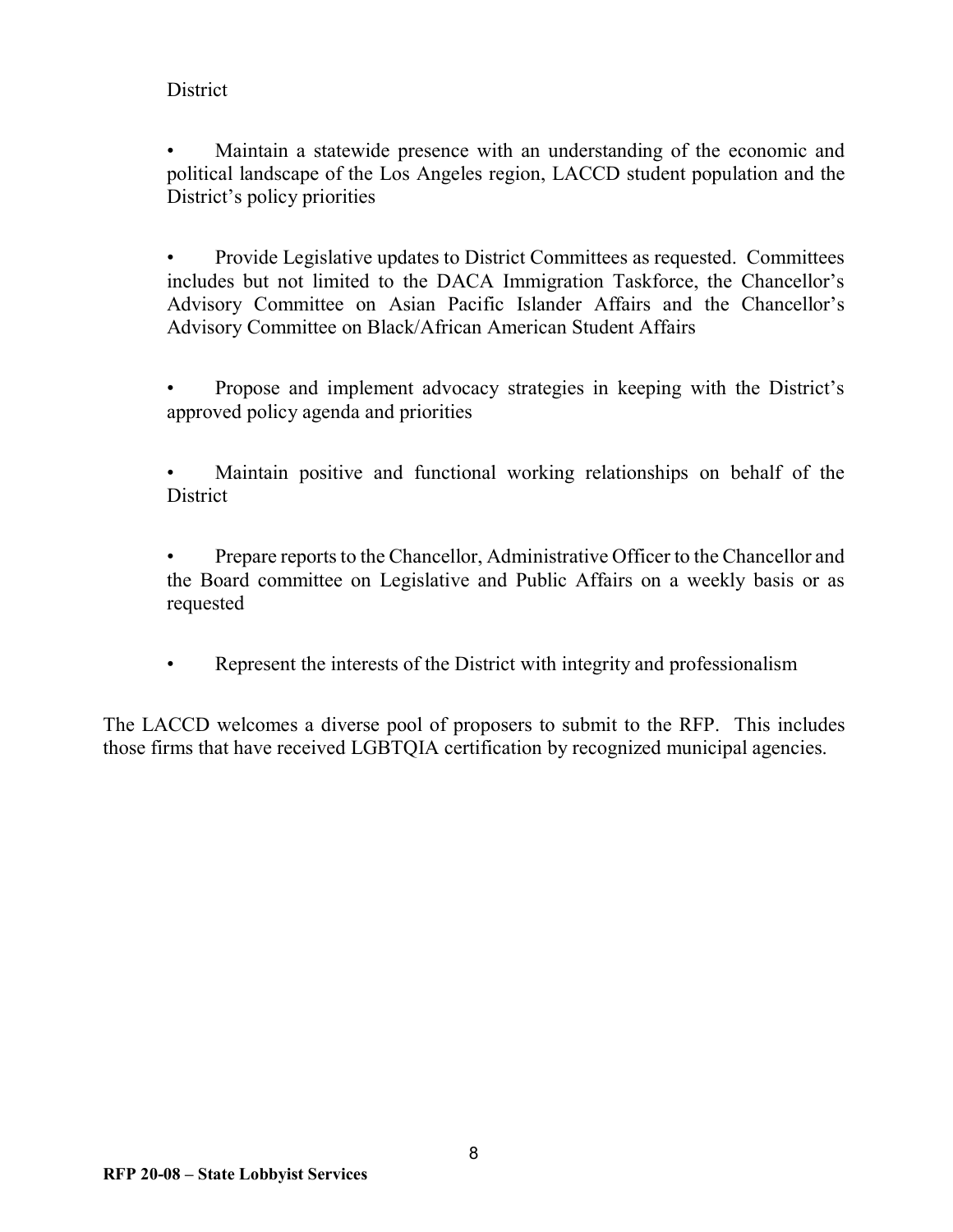#### **District**

• Maintain a statewide presence with an understanding of the economic and political landscape of the Los Angeles region, LACCD student population and the District's policy priorities

• Provide Legislative updates to District Committees as requested. Committees includes but not limited to the DACA Immigration Taskforce, the Chancellor's Advisory Committee on Asian Pacific Islander Affairs and the Chancellor's Advisory Committee on Black/African American Student Affairs

- Propose and implement advocacy strategies in keeping with the District's approved policy agenda and priorities
- Maintain positive and functional working relationships on behalf of the **District**
- Prepare reports to the Chancellor, Administrative Officer to the Chancellor and the Board committee on Legislative and Public Affairs on a weekly basis or as requested
- Represent the interests of the District with integrity and professionalism

The LACCD welcomes a diverse pool of proposers to submit to the RFP. This includes those firms that have received LGBTQIA certification by recognized municipal agencies.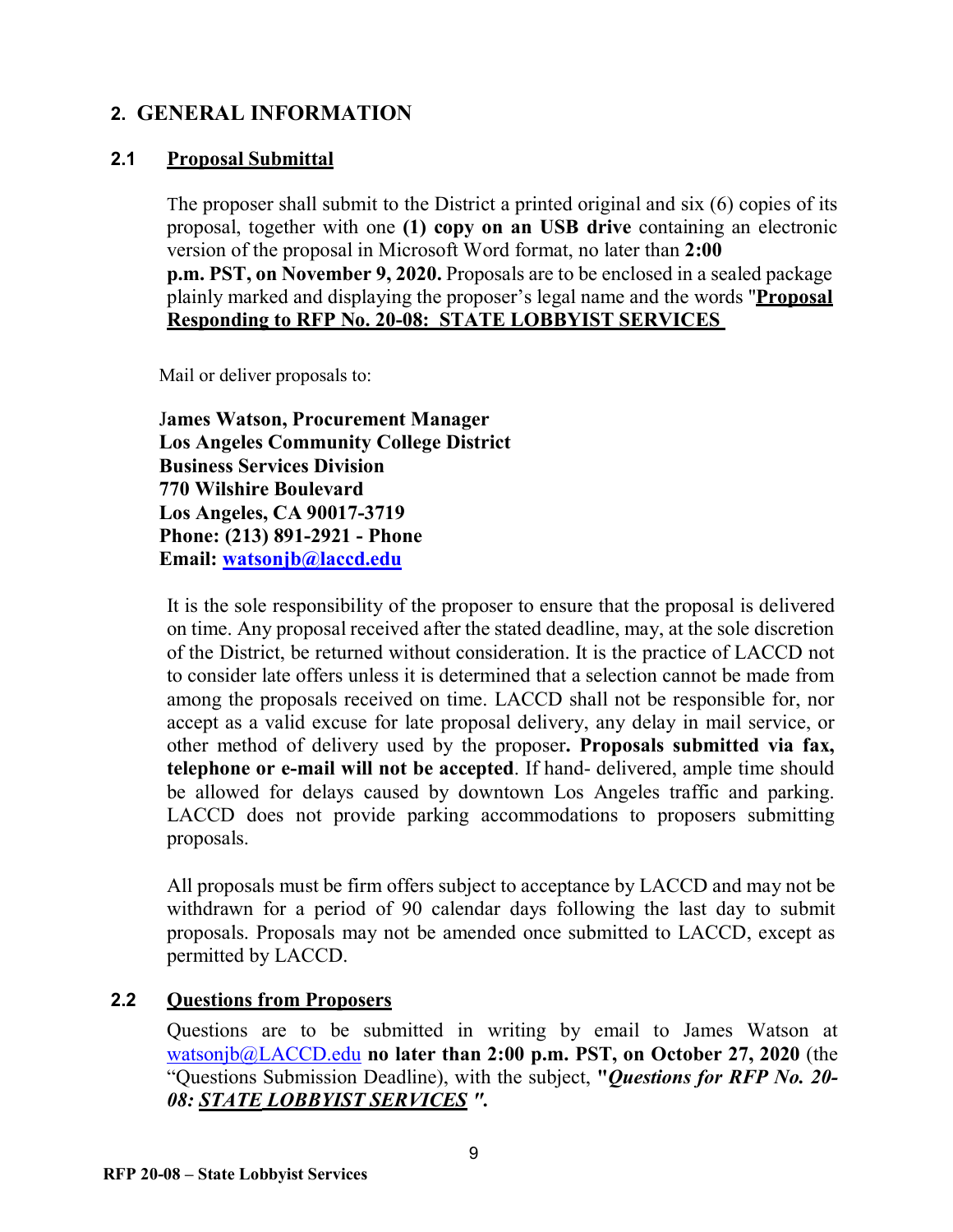## <span id="page-8-0"></span>**2. GENERAL INFORMATION**

#### **2.1 Proposal Submittal**

The proposer shall submit to the District a printed original and six (6) copies of its proposal, together with one **(1) copy on an USB drive** containing an electronic version of the proposal in Microsoft Word format, no later than **2:00 p.m. PST, on November 9, 2020.** Proposals are to be enclosed in a sealed package plainly marked and displaying the proposer's legal name and the words "**Proposal Responding to RFP No. 20-08: STATE LOBBYIST SERVICES** 

Mail or deliver proposals to:

J**ames Watson, Procurement Manager Los Angeles Community College District Business Services Division 770 Wilshire Boulevard Los Angeles, CA 90017-3719 Phone: (213) 891-2921 - Phone Email: [watsonjb@laccd.edu](mailto:watsonjb@laccd.edu)**

It is the sole responsibility of the proposer to ensure that the proposal is delivered on time. Any proposal received after the stated deadline, may, at the sole discretion of the District, be returned without consideration. It is the practice of LACCD not to consider late offers unless it is determined that a selection cannot be made from among the proposals received on time. LACCD shall not be responsible for, nor accept as a valid excuse for late proposal delivery, any delay in mail service, or other method of delivery used by the proposer**. Proposals submitted via fax, telephone or e-mail will not be accepted**. If hand- delivered, ample time should be allowed for delays caused by downtown Los Angeles traffic and parking. LACCD does not provide parking accommodations to proposers submitting proposals.

All proposals must be firm offers subject to acceptance by LACCD and may not be withdrawn for a period of 90 calendar days following the last day to submit proposals. Proposals may not be amended once submitted to LACCD, except as permitted by LACCD.

#### **2.2 Questions from Proposers**

Questions are to be submitted in writing by email to James Watson at [watsonjb@LACCD.edu](mailto:watsonjb@LACCD.edu) **no later than 2:00 p.m. PST, on October 27, 2020** (the "Questions Submission Deadline), with the subject, **"***Questions for RFP No. 20- 08: STATE LOBBYIST SERVICES ".*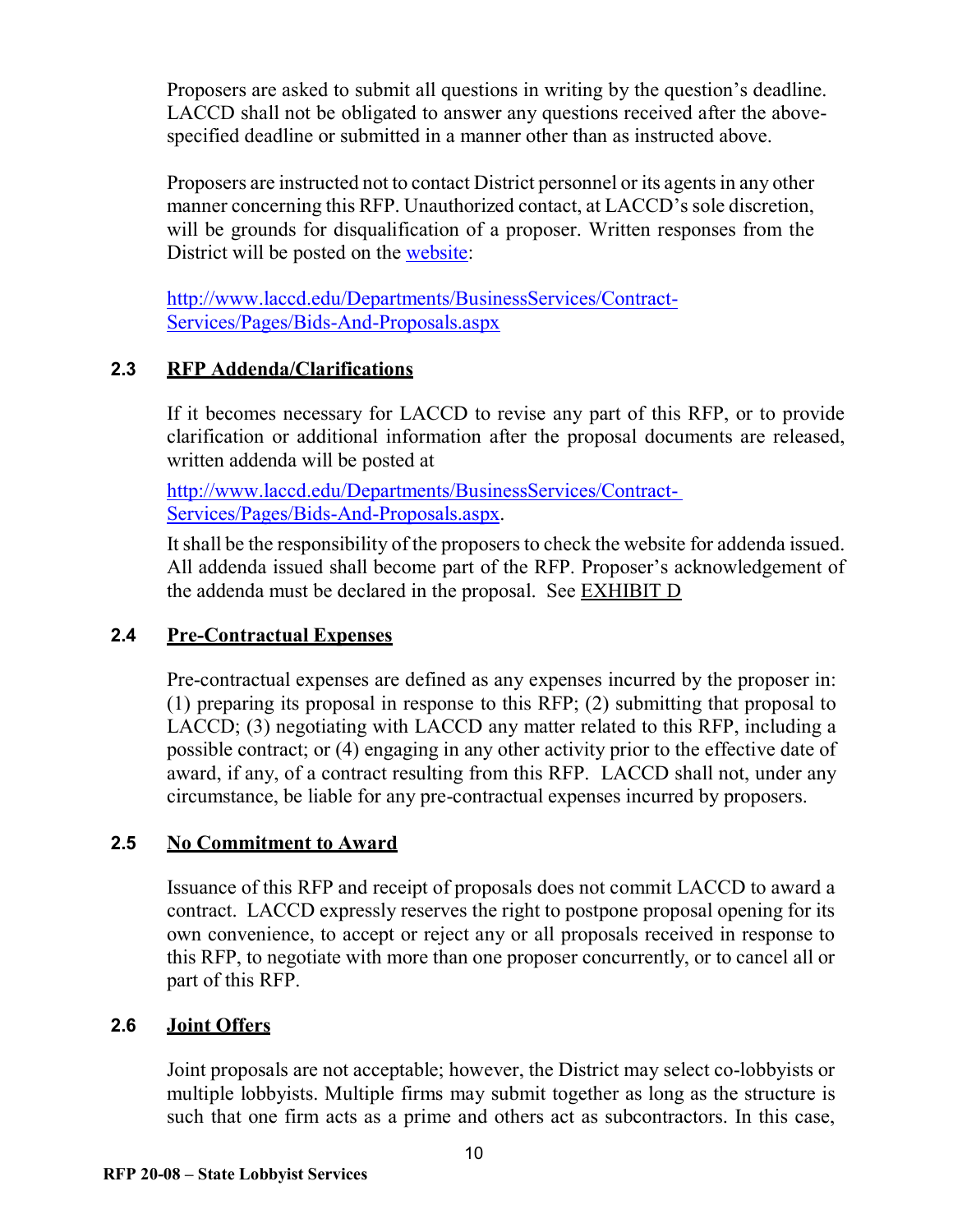Proposers are asked to submit all questions in writing by the question's deadline. LACCD shall not be obligated to answer any questions received after the abovespecified deadline or submitted in a manner other than as instructed above.

Proposers are instructed not to contact District personnel or its agents in any other manner concerning this RFP. Unauthorized contact, at LACCD's sole discretion, will be grounds for disqualification of a proposer. Written responses from the District will be posted on the [website:](http://www.laccd.edu/Departments/BusinessServices/Contract-Services/Pages/Bids-And-Proposals.aspx)

[http://www.laccd.edu/Departments/BusinessServices/Contract-](http://www.laccd.edu/Departments/BusinessServices/Contract-Services/Pages/Bids-And-Proposals.aspx)[Services/Pages/Bids-And-Proposals.aspx](http://www.laccd.edu/Departments/BusinessServices/Contract-Services/Pages/Bids-And-Proposals.aspx)

## **2.3 RFP Addenda/Clarifications**

If it becomes necessary for LACCD to revise any part of this RFP, or to provide clarification or additional information after the proposal documents are released, written addenda will be posted at

<http://www.laccd.edu/Departments/BusinessServices/Contract->[Services/Pages/Bids-And-Proposals.aspx.](http://www.laccd.edu/Departments/BusinessServices/Contract-Services/Pages/Bids-And-Proposals.aspx)

It shall be the responsibility of the proposers to check the website for addenda issued. All addenda issued shall become part of the RFP. Proposer's acknowledgement of the addenda must be declared in the proposal. See [EXHIBIT D](#page-25-0)

#### **2.4 Pre-Contractual Expenses**

Pre-contractual expenses are defined as any expenses incurred by the proposer in: (1) preparing its proposal in response to this RFP; (2) submitting that proposal to LACCD; (3) negotiating with LACCD any matter related to this RFP, including a possible contract; or (4) engaging in any other activity prior to the effective date of award, if any, of a contract resulting from this RFP. LACCD shall not, under any circumstance, be liable for any pre-contractual expenses incurred by proposers.

#### **2.5 No Commitment to Award**

Issuance of this RFP and receipt of proposals does not commit LACCD to award a contract. LACCD expressly reserves the right to postpone proposal opening for its own convenience, to accept or reject any or all proposals received in response to this RFP, to negotiate with more than one proposer concurrently, or to cancel all or part of this RFP.

#### **2.6 Joint Offers**

Joint proposals are not acceptable; however, the District may select co-lobbyists or multiple lobbyists. Multiple firms may submit together as long as the structure is such that one firm acts as a prime and others act as subcontractors. In this case,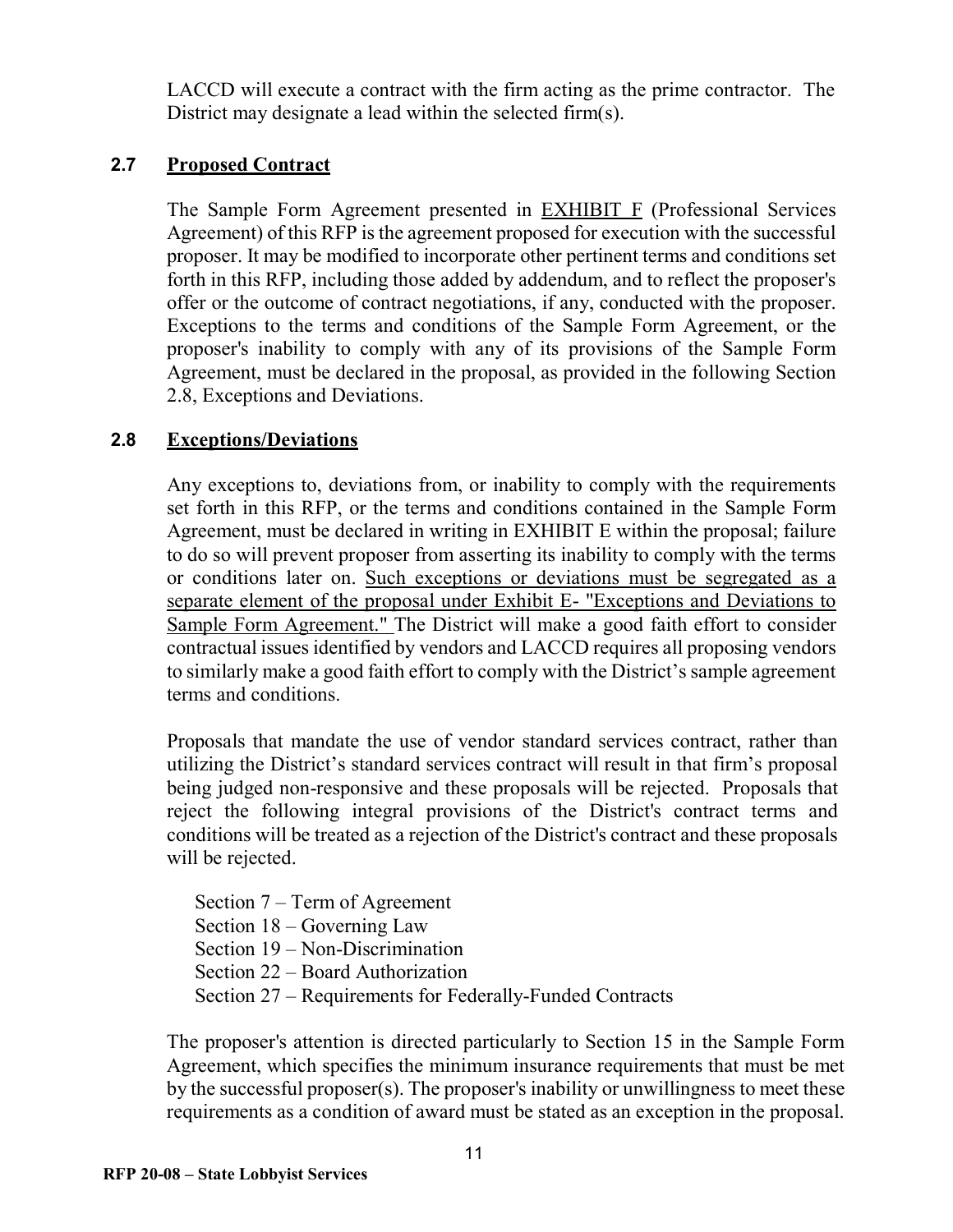LACCD will execute a contract with the firm acting as the prime contractor. The District may designate a lead within the selected firm(s).

### **2.7 Proposed Contract**

The Sample Form Agreement presented in [EXHIBIT F](#page-27-0) (Professional Services Agreement) of this RFP is the agreement proposed for execution with the successful proposer. It may be modified to incorporate other pertinent terms and conditions set forth in this RFP, including those added by addendum, and to reflect the proposer's offer or the outcome of contract negotiations, if any, conducted with the proposer. Exceptions to the terms and conditions of the Sample Form Agreement, or the proposer's inability to comply with any of its provisions of the Sample Form Agreement, must be declared in the proposal, as provided in the following Section 2.8, Exceptions and Deviations.

## **2.8 Exceptions/Deviations**

Any exceptions to, deviations from, or inability to comply with the requirements set forth in this RFP, or the terms and conditions contained in the Sample Form Agreement, must be declared in writing in [EXHIBIT E](#page-26-0) within the proposal; failure to do so will prevent proposer from asserting its inability to comply with the terms or conditions later on. Such exceptions or deviations must be segregated as a separate element of the proposal under Exhibit E- "Exceptions and Deviations to Sample Form Agreement." The District will make a good faith effort to consider contractual issues identified by vendors and LACCD requires all proposing vendors to similarly make a good faith effort to comply with the District's sample agreement terms and conditions.

Proposals that mandate the use of vendor standard services contract, rather than utilizing the District's standard services contract will result in that firm's proposal being judged non-responsive and these proposals will be rejected. Proposals that reject the following integral provisions of the District's contract terms and conditions will be treated as a rejection of the District's contract and these proposals will be rejected.

Section 7 – Term of Agreement Section 18 – Governing Law Section 19 – Non-Discrimination Section 22 – Board Authorization Section 27 – Requirements for Federally-Funded Contracts

The proposer's attention is directed particularly to Section 15 in the Sample Form Agreement, which specifies the minimum insurance requirements that must be met by the successful proposer(s). The proposer's inability or unwillingness to meet these requirements as a condition of award must be stated as an exception in the proposal.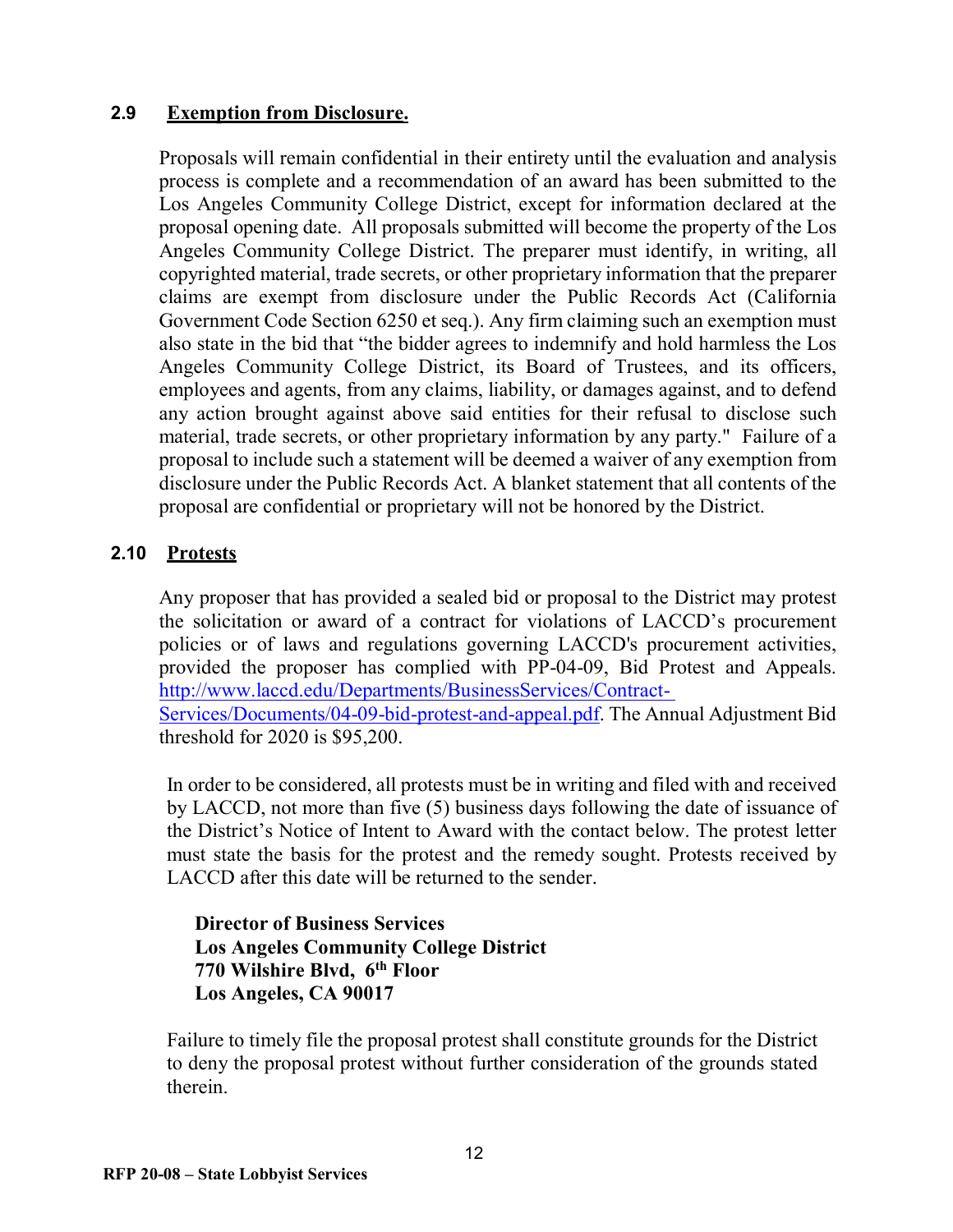#### **2.9 Exemption from Disclosure.**

Proposals will remain confidential in their entirety until the evaluation and analysis process is complete and a recommendation of an award has been submitted to the Los Angeles Community College District, except for information declared at the proposal opening date. All proposals submitted will become the property of the Los Angeles Community College District. The preparer must identify, in writing, all copyrighted material, trade secrets, or other proprietary information that the preparer claims are exempt from disclosure under the Public Records Act (California Government Code Section 6250 et seq.). Any firm claiming such an exemption must also state in the bid that "the bidder agrees to indemnify and hold harmless the Los Angeles Community College District, its Board of Trustees, and its officers, employees and agents, from any claims, liability, or damages against, and to defend any action brought against above said entities for their refusal to disclose such material, trade secrets, or other proprietary information by any party." Failure of a proposal to include such a statement will be deemed a waiver of any exemption from disclosure under the Public Records Act. A blanket statement that all contents of the proposal are confidential or proprietary will not be honored by the District.

#### **2.10 Protests**

Any proposer that has provided a sealed bid or proposal to the District may protest the solicitation or award of a contract for violations of LACCD's procurement policies or of laws and regulations governing LACCD's procurement activities, provided the proposer has complied with PP-04-09, Bid Protest and Appeals. [http://www.laccd.edu/Departments/BusinessServices/Contract-](http://www.laccd.edu/Departments/BusinessServices/Contract-Services/Documents/04-09-bid-protest-and-appeal.pdf)[Services/Documents/04-09-bid-protest-and-appeal.pdf.](http://www.laccd.edu/Departments/BusinessServices/Contract-Services/Documents/04-09-bid-protest-and-appeal.pdf) The Annual Adjustment Bid threshold for 2020 is \$95,200.

In order to be considered, all protests must be in writing and filed with and received by LACCD, not more than five (5) business days following the date of issuance of the District's Notice of Intent to Award with the contact below. The protest letter must state the basis for the protest and the remedy sought. Protests received by LACCD after this date will be returned to the sender.

**Director of Business Services Los Angeles Community College District 770 Wilshire Blvd, 6th Floor Los Angeles, CA 90017**

Failure to timely file the proposal protest shall constitute grounds for the District to deny the proposal protest without further consideration of the grounds stated therein.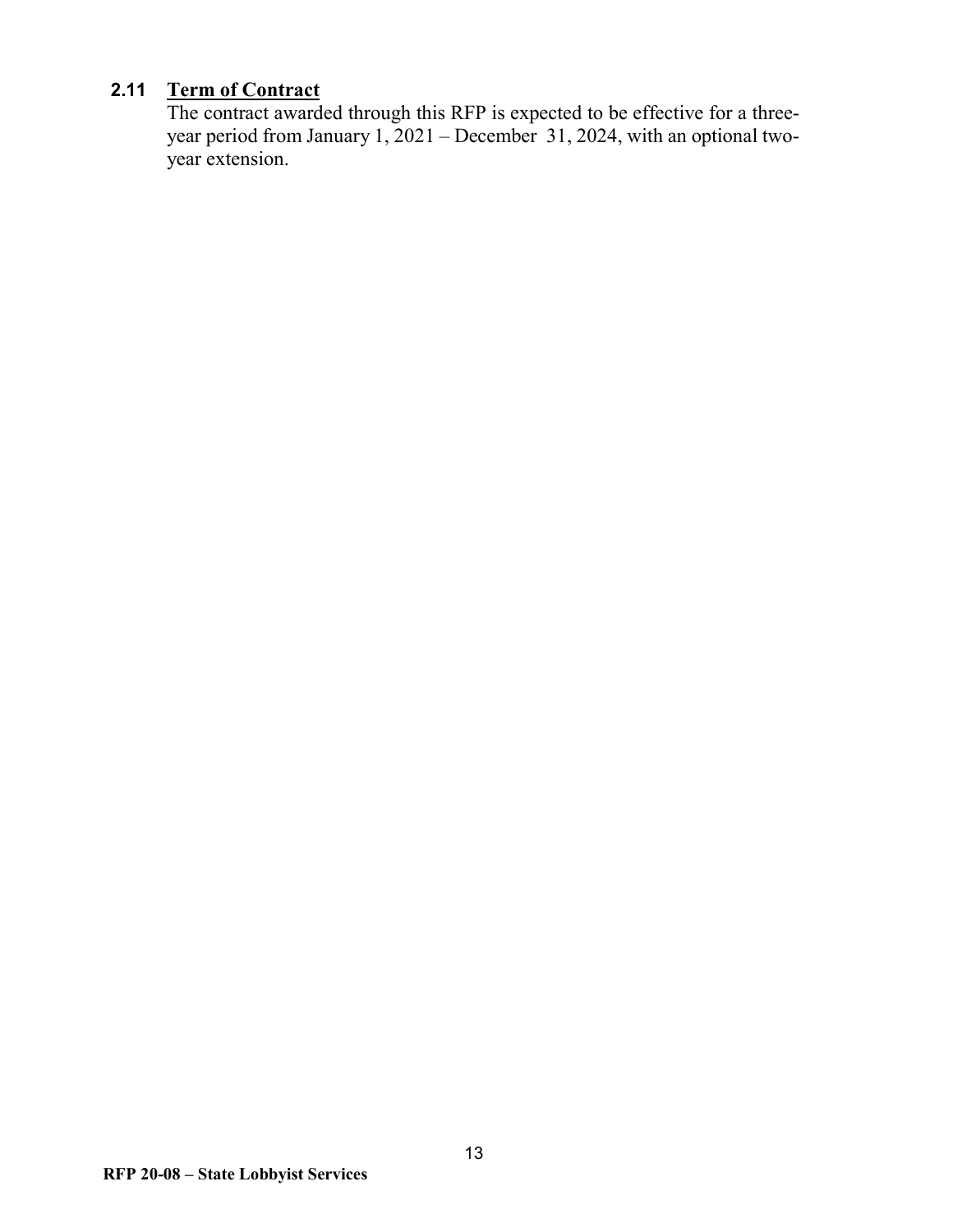## **2.11 Term of Contract**

The contract awarded through this RFP is expected to be effective for a threeyear period from January 1, 2021 – December 31, 2024, with an optional twoyear extension.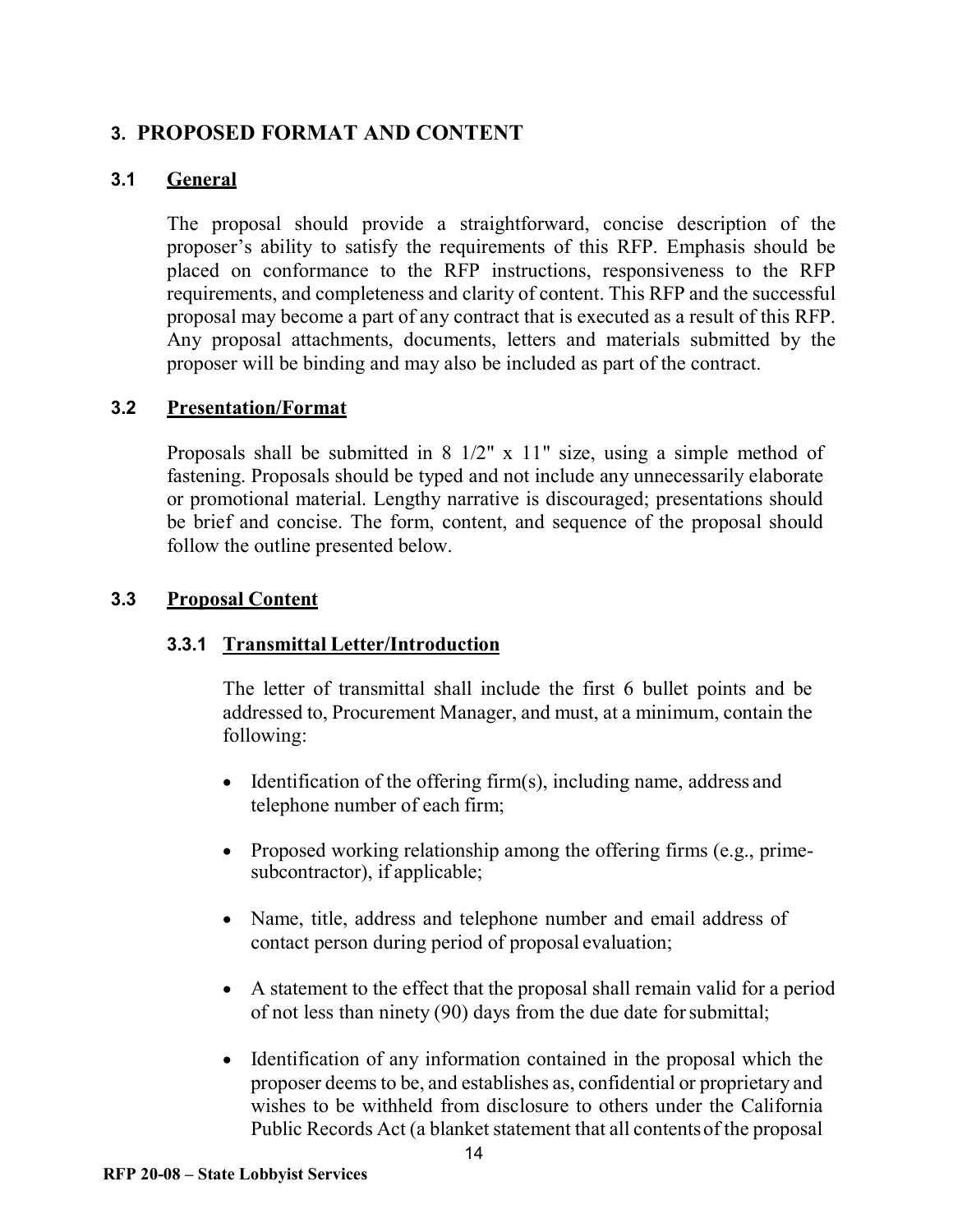## <span id="page-13-0"></span>**3. PROPOSED FORMAT AND CONTENT**

## **3.1 General**

The proposal should provide a straightforward, concise description of the proposer's ability to satisfy the requirements of this RFP. Emphasis should be placed on conformance to the RFP instructions, responsiveness to the RFP requirements, and completeness and clarity of content. This RFP and the successful proposal may become a part of any contract that is executed as a result of this RFP. Any proposal attachments, documents, letters and materials submitted by the proposer will be binding and may also be included as part of the contract.

#### **3.2 Presentation/Format**

Proposals shall be submitted in 8 1/2" x 11" size, using a simple method of fastening. Proposals should be typed and not include any unnecessarily elaborate or promotional material. Lengthy narrative is discouraged; presentations should be brief and concise. The form, content, and sequence of the proposal should follow the outline presented below.

#### **3.3 Proposal Content**

#### **3.3.1 Transmittal Letter/Introduction**

The letter of transmittal shall include the first 6 bullet points and be addressed to, Procurement Manager, and must, at a minimum, contain the following:

- Identification of the offering firm(s), including name, address and telephone number of each firm;
- Proposed working relationship among the offering firms (e.g., primesubcontractor), if applicable;
- Name, title, address and telephone number and email address of contact person during period of proposal evaluation;
- A statement to the effect that the proposal shall remain valid for a period of not less than ninety (90) days from the due date forsubmittal;
- Identification of any information contained in the proposal which the proposer deems to be, and establishes as, confidential or proprietary and wishes to be withheld from disclosure to others under the California Public Records Act (a blanket statement that all contentsof the proposal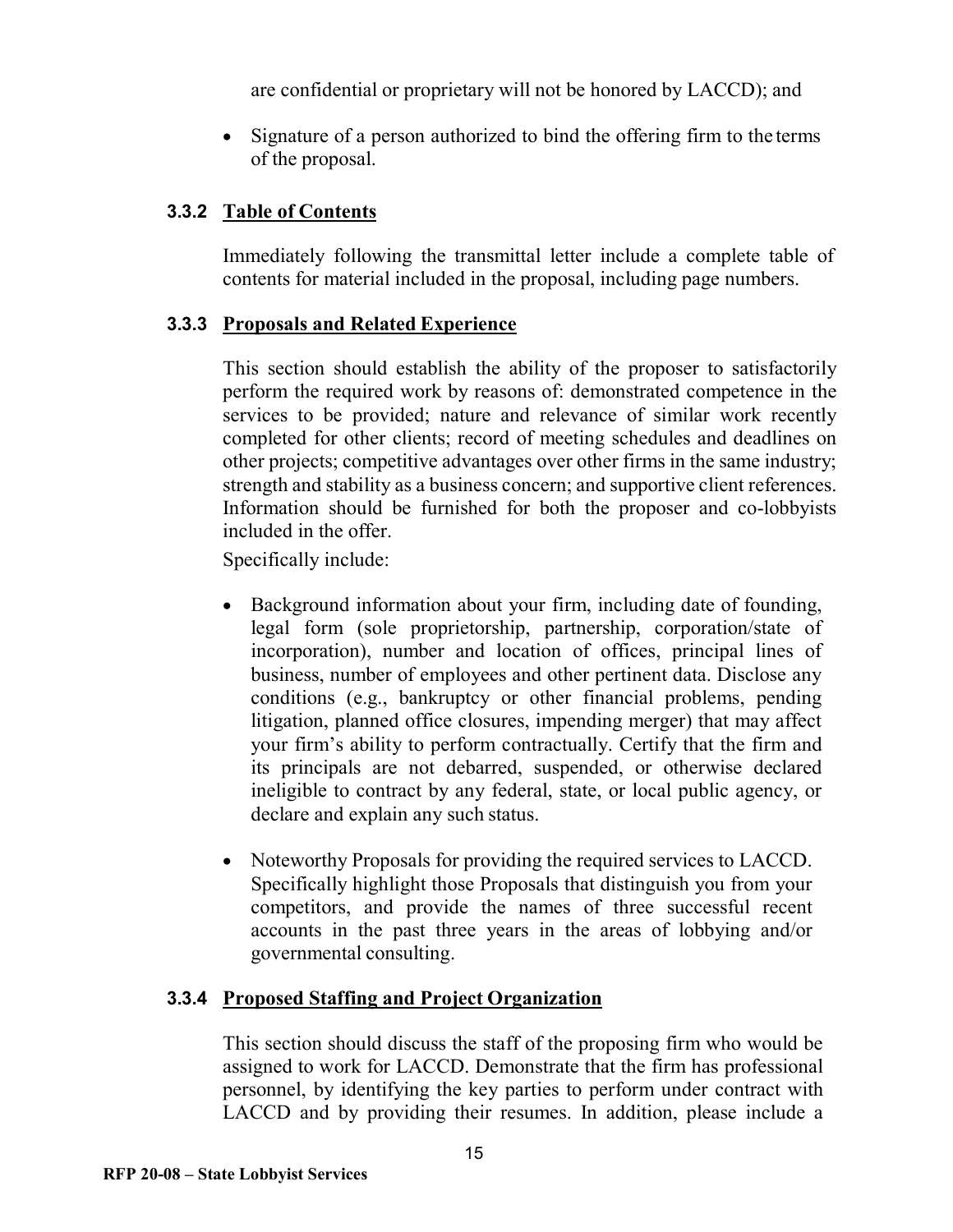are confidential or proprietary will not be honored by LACCD); and

• Signature of a person authorized to bind the offering firm to the terms of the proposal.

## **3.3.2 Table of Contents**

Immediately following the transmittal letter include a complete table of contents for material included in the proposal, including page numbers.

#### **3.3.3 Proposals and Related Experience**

This section should establish the ability of the proposer to satisfactorily perform the required work by reasons of: demonstrated competence in the services to be provided; nature and relevance of similar work recently completed for other clients; record of meeting schedules and deadlines on other projects; competitive advantages over other firms in the same industry; strength and stability as a business concern; and supportive client references. Information should be furnished for both the proposer and co-lobbyists included in the offer.

Specifically include:

- Background information about your firm, including date of founding, legal form (sole proprietorship, partnership, corporation/state of incorporation), number and location of offices, principal lines of business, number of employees and other pertinent data. Disclose any conditions (e.g., bankruptcy or other financial problems, pending litigation, planned office closures, impending merger) that may affect your firm's ability to perform contractually. Certify that the firm and its principals are not debarred, suspended, or otherwise declared ineligible to contract by any federal, state, or local public agency, or declare and explain any such status.
- Noteworthy Proposals for providing the required services to LACCD. Specifically highlight those Proposals that distinguish you from your competitors, and provide the names of three successful recent accounts in the past three years in the areas of lobbying and/or governmental consulting.

#### **3.3.4 Proposed Staffing and Project Organization**

This section should discuss the staff of the proposing firm who would be assigned to work for LACCD. Demonstrate that the firm has professional personnel, by identifying the key parties to perform under contract with LACCD and by providing their resumes. In addition, please include a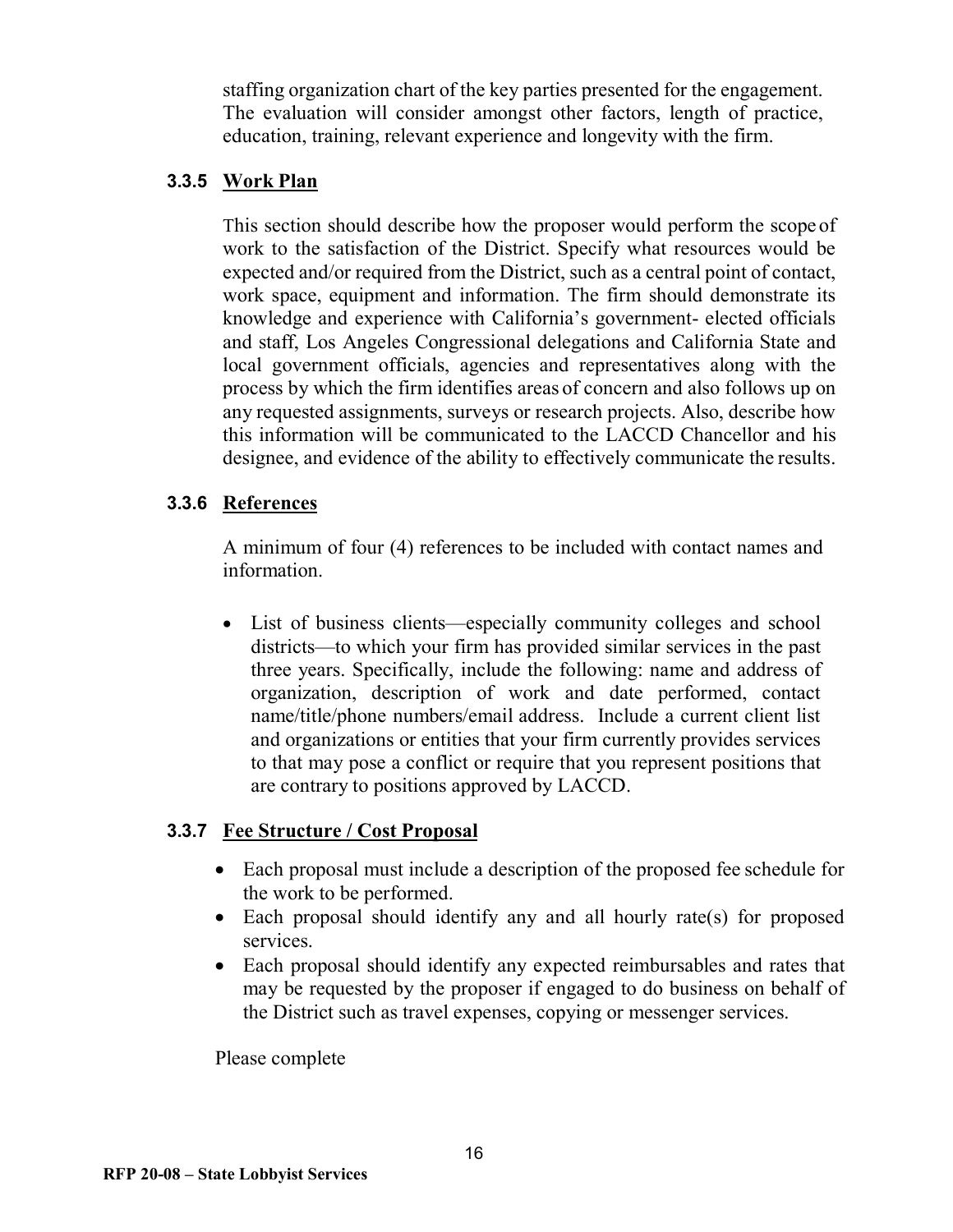staffing organization chart of the key parties presented for the engagement. The evaluation will consider amongst other factors, length of practice, education, training, relevant experience and longevity with the firm.

#### **3.3.5 Work Plan**

This section should describe how the proposer would perform the scope of work to the satisfaction of the District. Specify what resources would be expected and/or required from the District, such as a central point of contact, work space, equipment and information. The firm should demonstrate its knowledge and experience with California's government- elected officials and staff, Los Angeles Congressional delegations and California State and local government officials, agencies and representatives along with the process by which the firm identifies areas of concern and also follows up on any requested assignments, surveys or research projects. Also, describe how this information will be communicated to the LACCD Chancellor and his designee, and evidence of the ability to effectively communicate the results.

#### **3.3.6 References**

A minimum of four (4) references to be included with contact names and information.

• List of business clients—especially community colleges and school districts—to which your firm has provided similar services in the past three years. Specifically, include the following: name and address of organization, description of work and date performed, contact name/title/phone numbers/email address. Include a current client list and organizations or entities that your firm currently provides services to that may pose a conflict or require that you represent positions that are contrary to positions approved by LACCD.

#### **3.3.7 Fee Structure / Cost Proposal**

- Each proposal must include a description of the proposed fee schedule for the work to be performed.
- Each proposal should identify any and all hourly rate(s) for proposed services.
- Each proposal should identify any expected reimbursables and rates that may be requested by the proposer if engaged to do business on behalf of the District such as travel expenses, copying or messenger services.

Please complete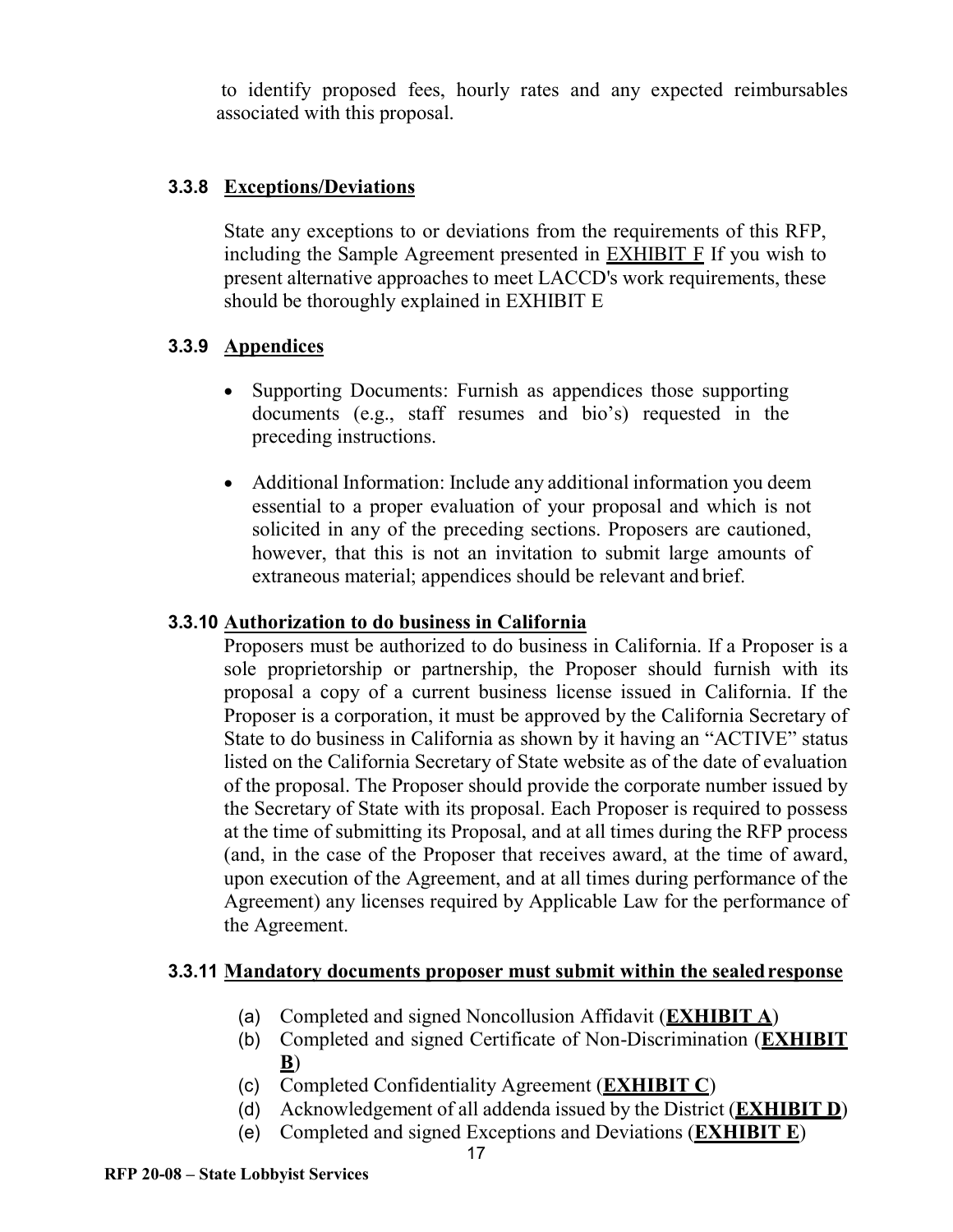to identify proposed fees, hourly rates and any expected reimbursables associated with this proposal.

## **3.3.8 Exceptions/Deviations**

State any exceptions to or deviations from the requirements of this RFP, including the Sample Agreement presented in [EXHIBIT F](#page-27-0) If you wish to present alternative approaches to meet LACCD's work requirements, these should be thoroughly explained in [EXHIBIT E](#page-26-0)

## **3.3.9 Appendices**

- Supporting Documents: Furnish as appendices those supporting documents (e.g., staff resumes and bio's) requested in the preceding instructions.
- Additional Information: Include any additional information you deem essential to a proper evaluation of your proposal and which is not solicited in any of the preceding sections. Proposers are cautioned, however, that this is not an invitation to submit large amounts of extraneous material; appendices should be relevant and brief.

#### **3.3.10 Authorization to do business in California**

Proposers must be authorized to do business in California. If a Proposer is a sole proprietorship or partnership, the Proposer should furnish with its proposal a copy of a current business license issued in California. If the Proposer is a corporation, it must be approved by the California Secretary of State to do business in California as shown by it having an "ACTIVE" status listed on the California Secretary of State website as of the date of evaluation of the proposal. The Proposer should provide the corporate number issued by the Secretary of State with its proposal. Each Proposer is required to possess at the time of submitting its Proposal, and at all times during the RFP process (and, in the case of the Proposer that receives award, at the time of award, upon execution of the Agreement, and at all times during performance of the Agreement) any licenses required by Applicable Law for the performance of the Agreement.

## **3.3.11 Mandatory documents proposer must submit within the sealedresponse**

- (a) Completed and signed Noncollusion Affidavit (**[EXHIBIT A](#page-22-0)**)
- (b) Completed and signed Certificate of Non-Discrimination (**[EXHIBIT](#page-23-0)  [B](#page-23-0)**)
- (c) Completed Confidentiality Agreement (**[EXHIBIT C](#page-24-0)**)
- (d) Acknowledgement of all addenda issued by the District (**[EXHIBIT D](#page-25-0)**)
- (e) Completed and signed Exceptions and Deviations (**[EXHIBIT E](#page-26-0)**)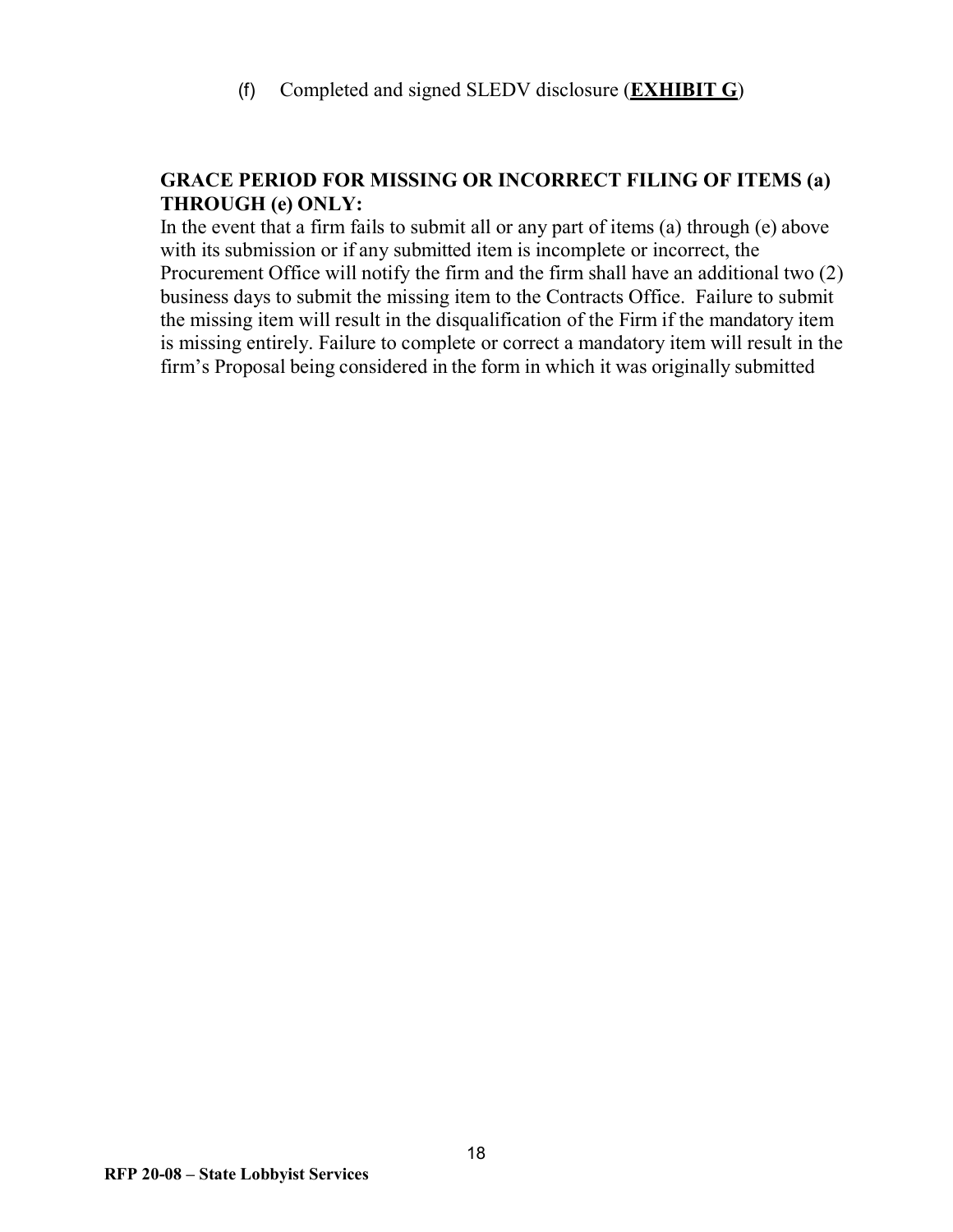(f) Completed and signed SLEDV disclosure (**[EXHIBIT G](#page-35-0)**)

## **GRACE PERIOD FOR MISSING OR INCORRECT FILING OF ITEMS (a) THROUGH (e) ONLY:**

In the event that a firm fails to submit all or any part of items (a) through (e) above with its submission or if any submitted item is incomplete or incorrect, the Procurement Office will notify the firm and the firm shall have an additional two (2) business days to submit the missing item to the Contracts Office. Failure to submit the missing item will result in the disqualification of the Firm if the mandatory item is missing entirely. Failure to complete or correct a mandatory item will result in the firm's Proposal being considered in the form in which it was originally submitted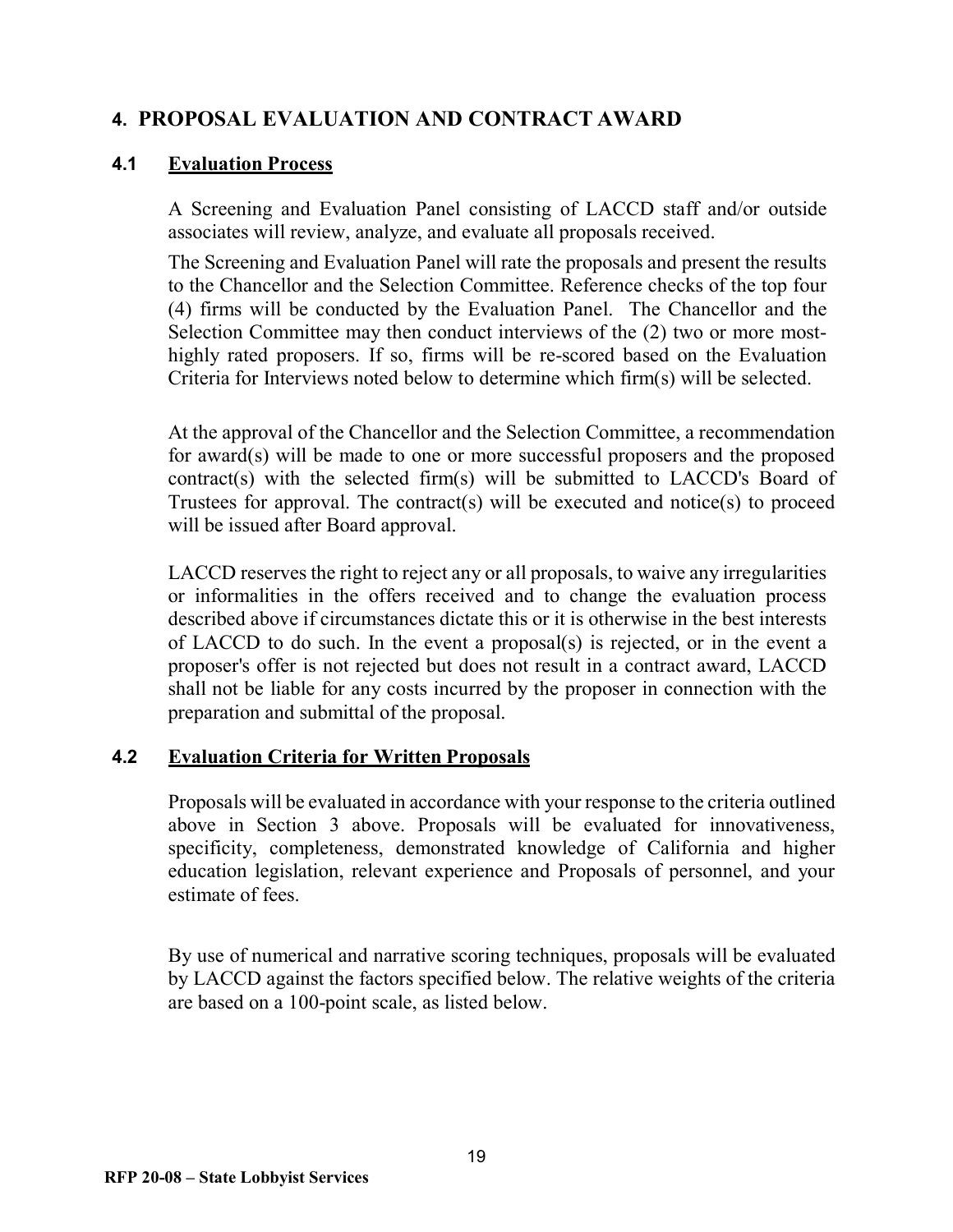## <span id="page-18-0"></span>**4. PROPOSAL EVALUATION AND CONTRACT AWARD**

#### **4.1 Evaluation Process**

A Screening and Evaluation Panel consisting of LACCD staff and/or outside associates will review, analyze, and evaluate all proposals received.

The Screening and Evaluation Panel will rate the proposals and present the results to the Chancellor and the Selection Committee. Reference checks of the top four (4) firms will be conducted by the Evaluation Panel. The Chancellor and the Selection Committee may then conduct interviews of the (2) two or more mosthighly rated proposers. If so, firms will be re-scored based on the Evaluation Criteria for Interviews noted below to determine which firm(s) will be selected.

At the approval of the Chancellor and the Selection Committee, a recommendation for award(s) will be made to one or more successful proposers and the proposed contract(s) with the selected firm(s) will be submitted to LACCD's Board of Trustees for approval. The contract(s) will be executed and notice(s) to proceed will be issued after Board approval.

LACCD reserves the right to reject any or all proposals, to waive any irregularities or informalities in the offers received and to change the evaluation process described above if circumstances dictate this or it is otherwise in the best interests of LACCD to do such. In the event a proposal(s) is rejected, or in the event a proposer's offer is not rejected but does not result in a contract award, LACCD shall not be liable for any costs incurred by the proposer in connection with the preparation and submittal of the proposal.

#### **4.2 Evaluation Criteria for Written Proposals**

Proposals will be evaluated in accordance with your response to the criteria outlined above in Section 3 above. Proposals will be evaluated for innovativeness, specificity, completeness, demonstrated knowledge of California and higher education legislation, relevant experience and Proposals of personnel, and your estimate of fees.

By use of numerical and narrative scoring techniques, proposals will be evaluated by LACCD against the factors specified below. The relative weights of the criteria are based on a 100-point scale, as listed below.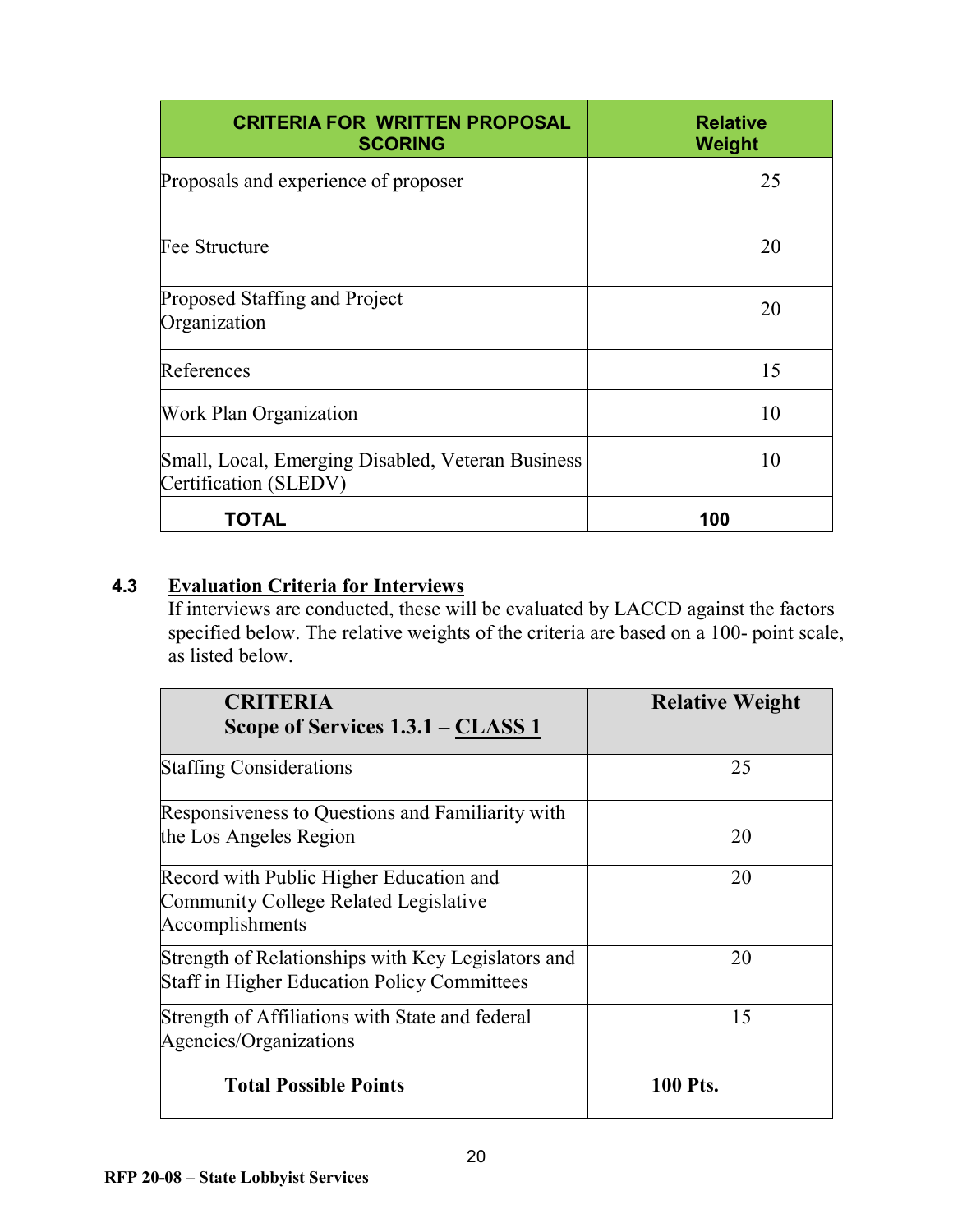| <b>CRITERIA FOR WRITTEN PROPOSAL</b><br><b>SCORING</b>                     | <b>Relative</b><br>Weight |
|----------------------------------------------------------------------------|---------------------------|
| Proposals and experience of proposer                                       | 25                        |
| Fee Structure                                                              | 20                        |
| Proposed Staffing and Project<br>Organization                              | 20                        |
| References                                                                 | 15                        |
| <b>Work Plan Organization</b>                                              | 10                        |
| Small, Local, Emerging Disabled, Veteran Business<br>Certification (SLEDV) | 10                        |
| TOTAL                                                                      | 100                       |

## **4.3 Evaluation Criteria for Interviews**

If interviews are conducted, these will be evaluated by LACCD against the factors specified below. The relative weights of the criteria are based on a 100- point scale, as listed below.

| <b>CRITERIA</b><br>Scope of Services 1.3.1 – CLASS 1                                                     | <b>Relative Weight</b> |
|----------------------------------------------------------------------------------------------------------|------------------------|
| <b>Staffing Considerations</b>                                                                           | 25                     |
| Responsiveness to Questions and Familiarity with<br>the Los Angeles Region                               | 20                     |
| Record with Public Higher Education and<br>Community College Related Legislative<br>Accomplishments      | 20                     |
| Strength of Relationships with Key Legislators and<br><b>Staff in Higher Education Policy Committees</b> | 20                     |
| Strength of Affiliations with State and federal<br>Agencies/Organizations                                | 15                     |
| <b>Total Possible Points</b>                                                                             | <b>100 Pts.</b>        |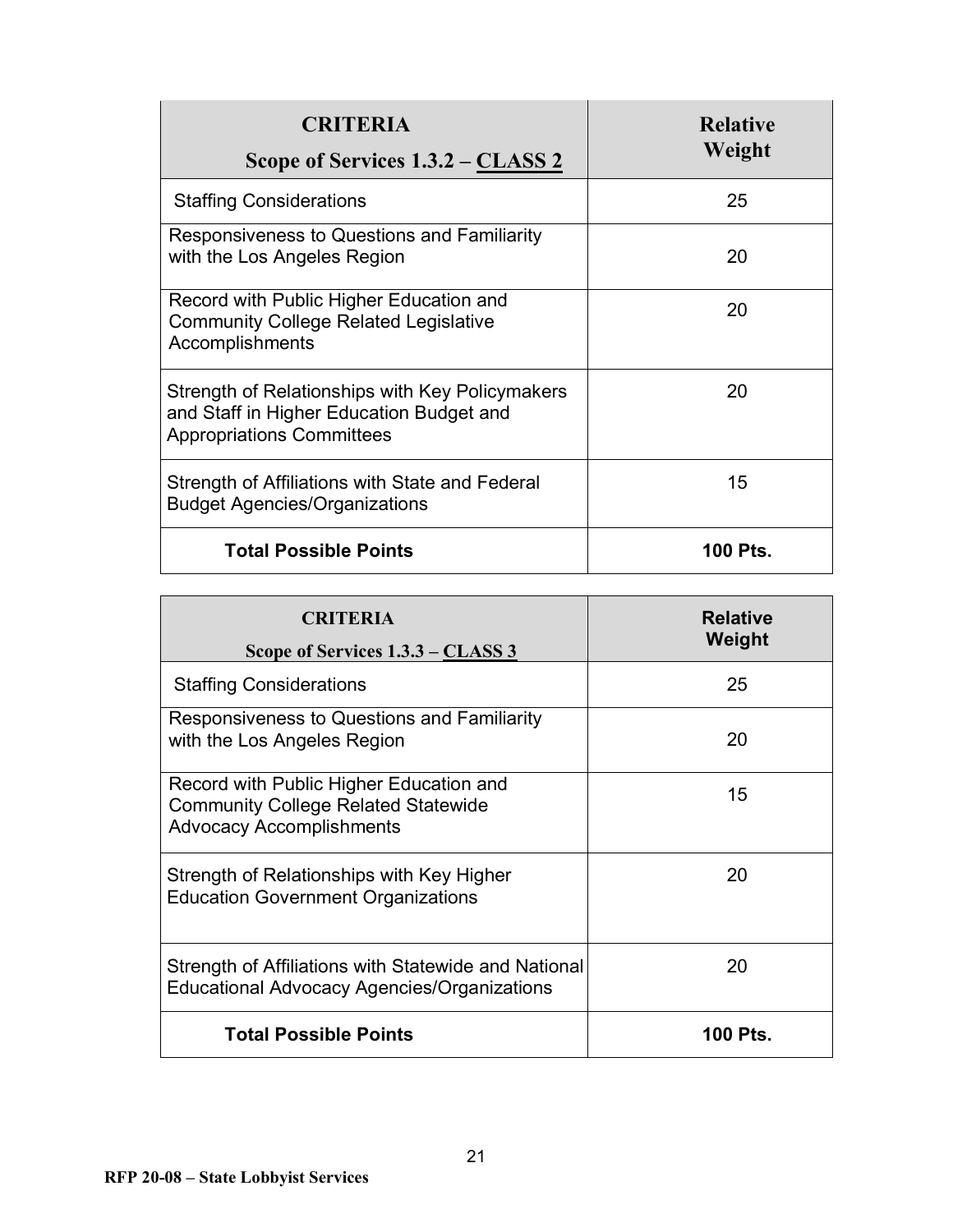| <b>CRITERIA</b><br>Scope of Services 1.3.2 – CLASS 2                                                                            | <b>Relative</b><br>Weight |
|---------------------------------------------------------------------------------------------------------------------------------|---------------------------|
| <b>Staffing Considerations</b>                                                                                                  | 25                        |
| Responsiveness to Questions and Familiarity<br>with the Los Angeles Region                                                      | 20                        |
| Record with Public Higher Education and<br><b>Community College Related Legislative</b><br>Accomplishments                      | 20                        |
| Strength of Relationships with Key Policymakers<br>and Staff in Higher Education Budget and<br><b>Appropriations Committees</b> | 20                        |
| Strength of Affiliations with State and Federal<br><b>Budget Agencies/Organizations</b>                                         | 15                        |
| <b>Total Possible Points</b>                                                                                                    | 100 Pts.                  |

| <b>CRITERIA</b><br>Scope of Services 1.3.3 – CLASS 3                                                                     | <b>Relative</b><br>Weight |
|--------------------------------------------------------------------------------------------------------------------------|---------------------------|
| <b>Staffing Considerations</b>                                                                                           | 25                        |
| Responsiveness to Questions and Familiarity<br>with the Los Angeles Region                                               | 20                        |
| Record with Public Higher Education and<br><b>Community College Related Statewide</b><br><b>Advocacy Accomplishments</b> | 15                        |
| Strength of Relationships with Key Higher<br><b>Education Government Organizations</b>                                   | 20                        |
| Strength of Affiliations with Statewide and National<br>Educational Advocacy Agencies/Organizations                      | 20                        |
| <b>Total Possible Points</b>                                                                                             | 100 Pts.                  |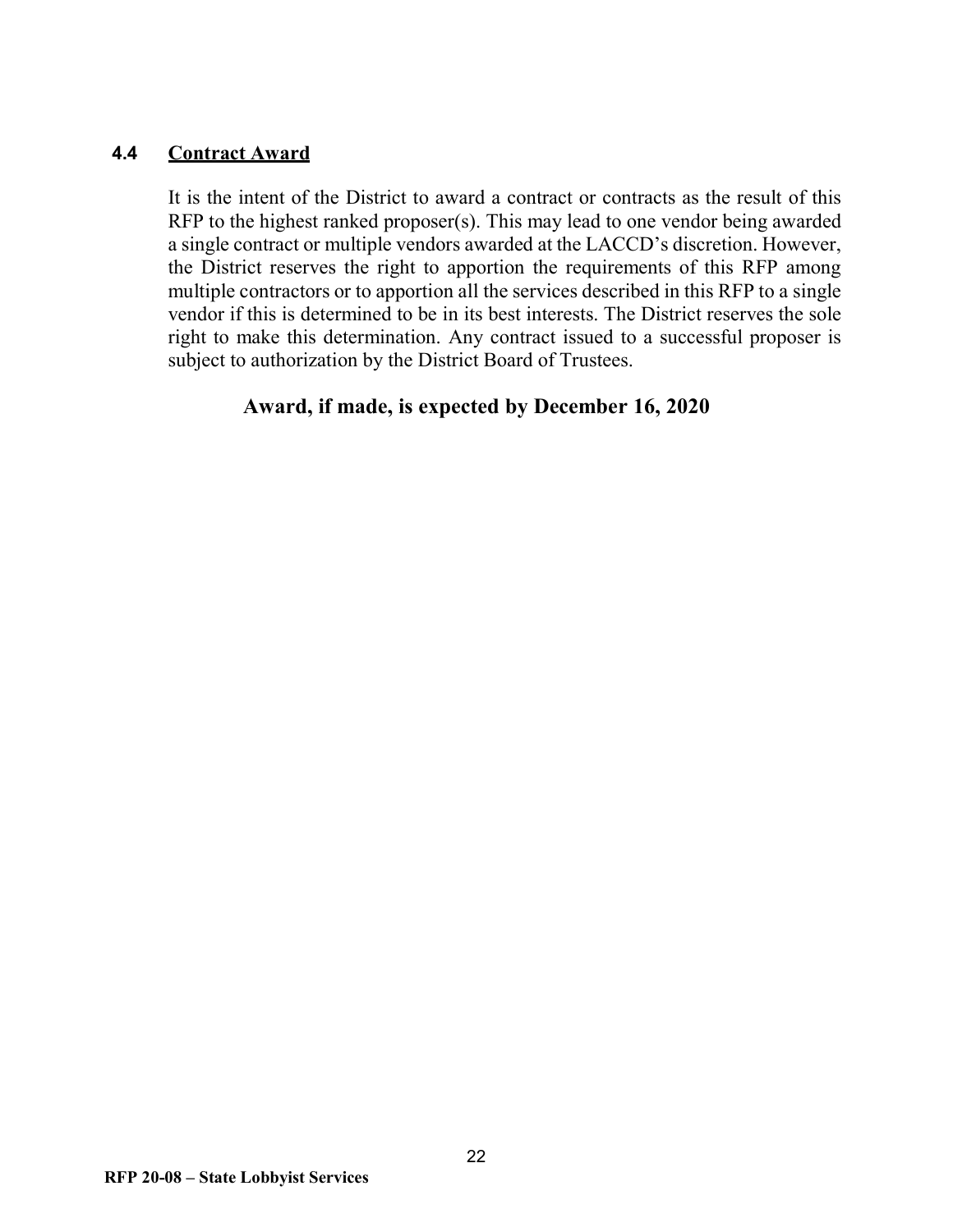#### **4.4 Contract Award**

It is the intent of the District to award a contract or contracts as the result of this RFP to the highest ranked proposer(s). This may lead to one vendor being awarded a single contract or multiple vendors awarded at the LACCD's discretion. However, the District reserves the right to apportion the requirements of this RFP among multiple contractors or to apportion all the services described in this RFP to a single vendor if this is determined to be in its best interests. The District reserves the sole right to make this determination. Any contract issued to a successful proposer is subject to authorization by the District Board of Trustees.

## **Award, if made, is expected by December 16, 2020**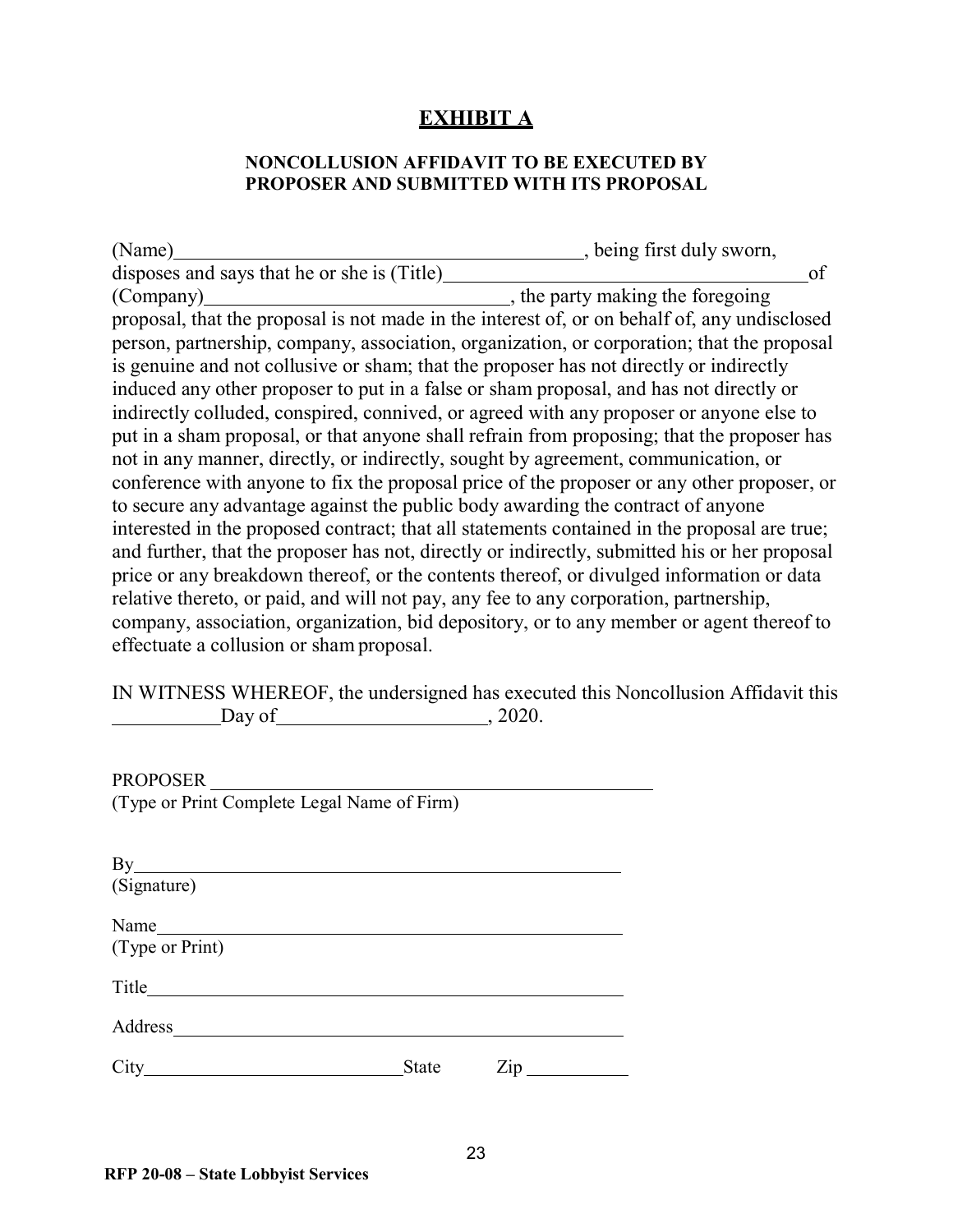## **EXHIBIT A**

#### **NONCOLLUSION AFFIDAVIT TO BE EXECUTED BY PROPOSER AND SUBMITTED WITH ITS PROPOSAL**

<span id="page-22-0"></span>

| (Name)                                                                                        | , being first duly sworn,        |
|-----------------------------------------------------------------------------------------------|----------------------------------|
| disposes and says that he or she is (Title)                                                   | of                               |
| (Company)                                                                                     | , the party making the foregoing |
| proposal, that the proposal is not made in the interest of, or on behalf of, any undisclosed  |                                  |
| person, partnership, company, association, organization, or corporation; that the proposal    |                                  |
| is genuine and not collusive or sham; that the proposer has not directly or indirectly        |                                  |
| induced any other proposer to put in a false or sham proposal, and has not directly or        |                                  |
| indirectly colluded, conspired, connived, or agreed with any proposer or anyone else to       |                                  |
| put in a sham proposal, or that anyone shall refrain from proposing; that the proposer has    |                                  |
| not in any manner, directly, or indirectly, sought by agreement, communication, or            |                                  |
| conference with anyone to fix the proposal price of the proposer or any other proposer, or    |                                  |
| to secure any advantage against the public body awarding the contract of anyone               |                                  |
| interested in the proposed contract; that all statements contained in the proposal are true;  |                                  |
| and further, that the proposer has not, directly or indirectly, submitted his or her proposal |                                  |
| price or any breakdown thereof, or the contents thereof, or divulged information or data      |                                  |
| relative thereto, or paid, and will not pay, any fee to any corporation, partnership,         |                                  |
| company, association, organization, bid depository, or to any member or agent thereof to      |                                  |
| effectuate a collusion or sham proposal.                                                      |                                  |

IN WITNESS WHEREOF, the undersigned has executed this Noncollusion Affidavit this Day of  $\frac{2020}{\pi}$ , 2020.

PROPOSER (Type or Print Complete Legal Name of Firm)

| By                      |              |     |  |
|-------------------------|--------------|-----|--|
| (Signature)             |              |     |  |
| Name<br>(Type or Print) |              |     |  |
| Title                   |              |     |  |
| Address                 |              |     |  |
| City                    | <b>State</b> | Zip |  |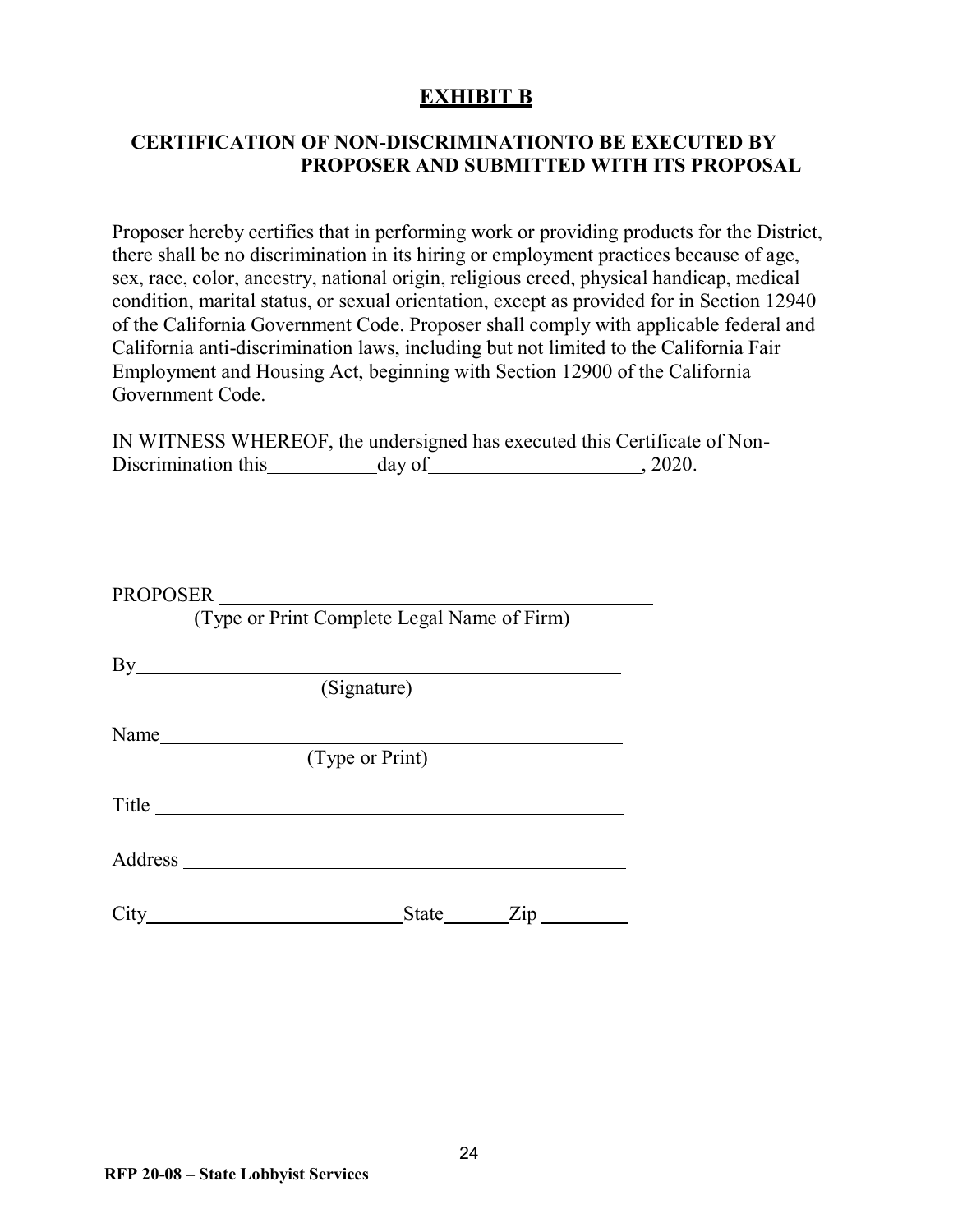## **EXHIBIT B**

## <span id="page-23-0"></span>**CERTIFICATION OF NON-DISCRIMINATIONTO BE EXECUTED BY PROPOSER AND SUBMITTED WITH ITS PROPOSAL**

Proposer hereby certifies that in performing work or providing products for the District, there shall be no discrimination in its hiring or employment practices because of age, sex, race, color, ancestry, national origin, religious creed, physical handicap, medical condition, marital status, or sexual orientation, except as provided for in Section 12940 of the California Government Code. Proposer shall comply with applicable federal and California anti-discrimination laws, including but not limited to the California Fair Employment and Housing Act, beginning with Section 12900 of the California Government Code.

|                     | IN WITNESS WHEREOF, the undersigned has executed this Certificate of Non- |         |  |
|---------------------|---------------------------------------------------------------------------|---------|--|
| Discrimination this | day of                                                                    | , 2020. |  |

|       | PROPOSER                                    |
|-------|---------------------------------------------|
|       | (Type or Print Complete Legal Name of Firm) |
|       | $By$ and $\overline{a}$                     |
|       | (Signature)                                 |
| Name  |                                             |
|       | (Type or Print)                             |
| Title |                                             |
|       |                                             |
|       | State Zip<br>$City \quad \qquad \qquad$     |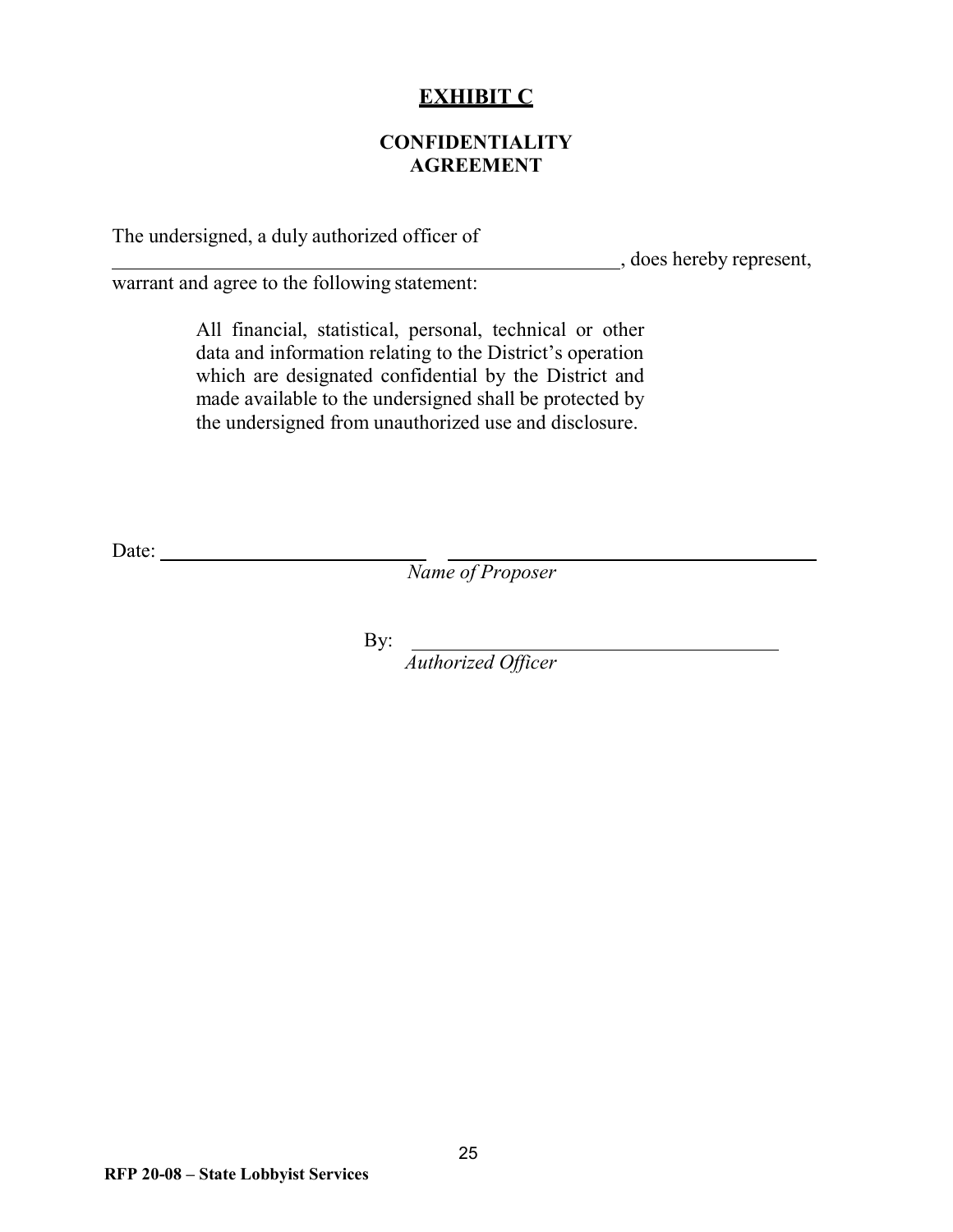## **EXHIBIT C**

## **CONFIDENTIALITY AGREEMENT**

<span id="page-24-0"></span>The undersigned, a duly authorized officer of

, does hereby represent,

warrant and agree to the following statement:

All financial, statistical, personal, technical or other data and information relating to the District's operation which are designated confidential by the District and made available to the undersigned shall be protected by the undersigned from unauthorized use and disclosure.

Date:

*Name of Proposer*

By:

*Authorized Officer*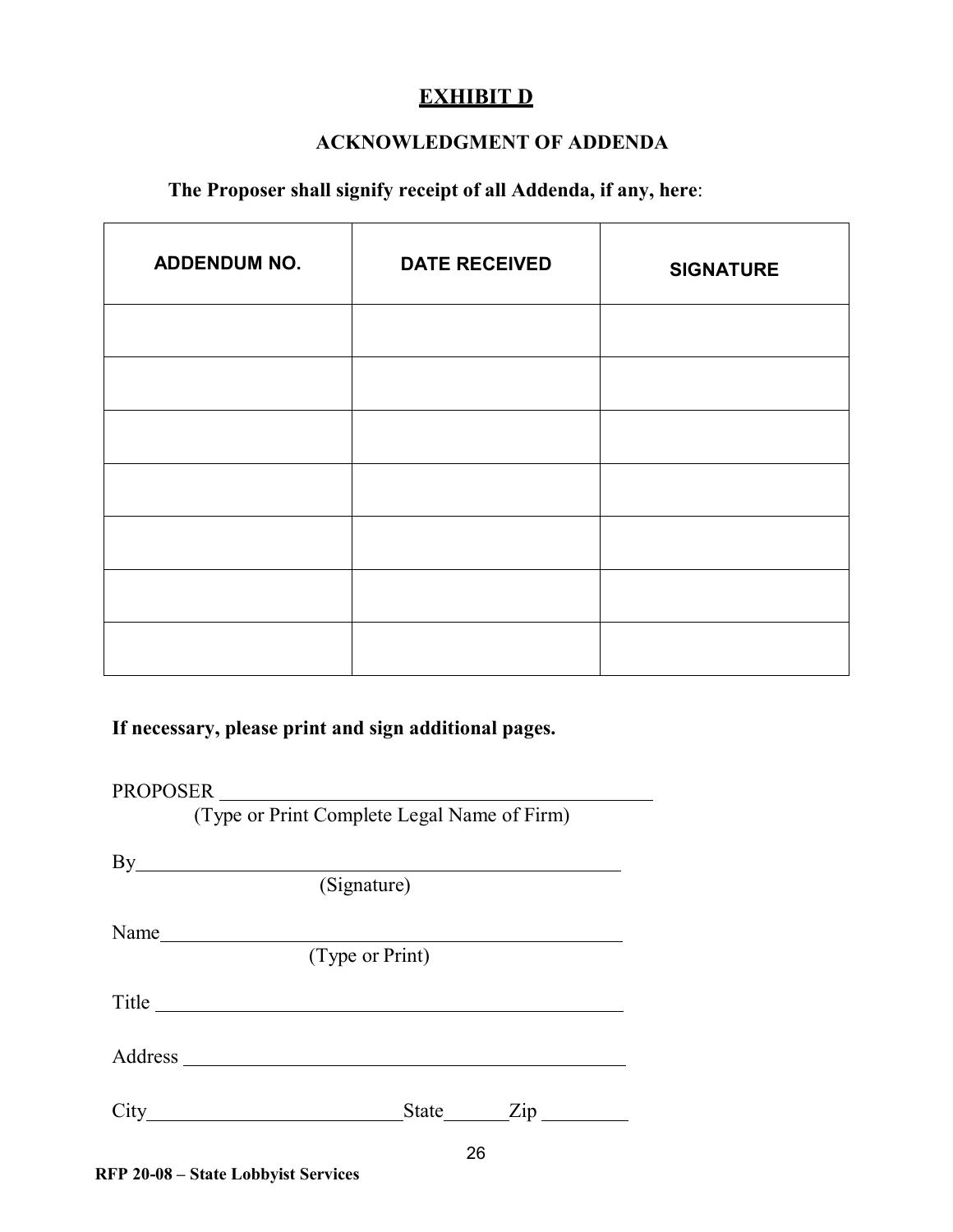## **EXHIBIT D**

#### **ACKNOWLEDGMENT OF ADDENDA**

## <span id="page-25-0"></span>**The Proposer shall signify receipt of all Addenda, if any, here**:

| <b>ADDENDUM NO.</b> | <b>DATE RECEIVED</b> | <b>SIGNATURE</b> |
|---------------------|----------------------|------------------|
|                     |                      |                  |
|                     |                      |                  |
|                     |                      |                  |
|                     |                      |                  |
|                     |                      |                  |
|                     |                      |                  |
|                     |                      |                  |

## **If necessary, please print and sign additional pages.**

#### PROPOSER

(Type or Print Complete Legal Name of Firm)

|       | (Signature)     |
|-------|-----------------|
| Name  |                 |
|       | (Type or Print) |
| Title |                 |
|       |                 |
|       |                 |
|       | ne              |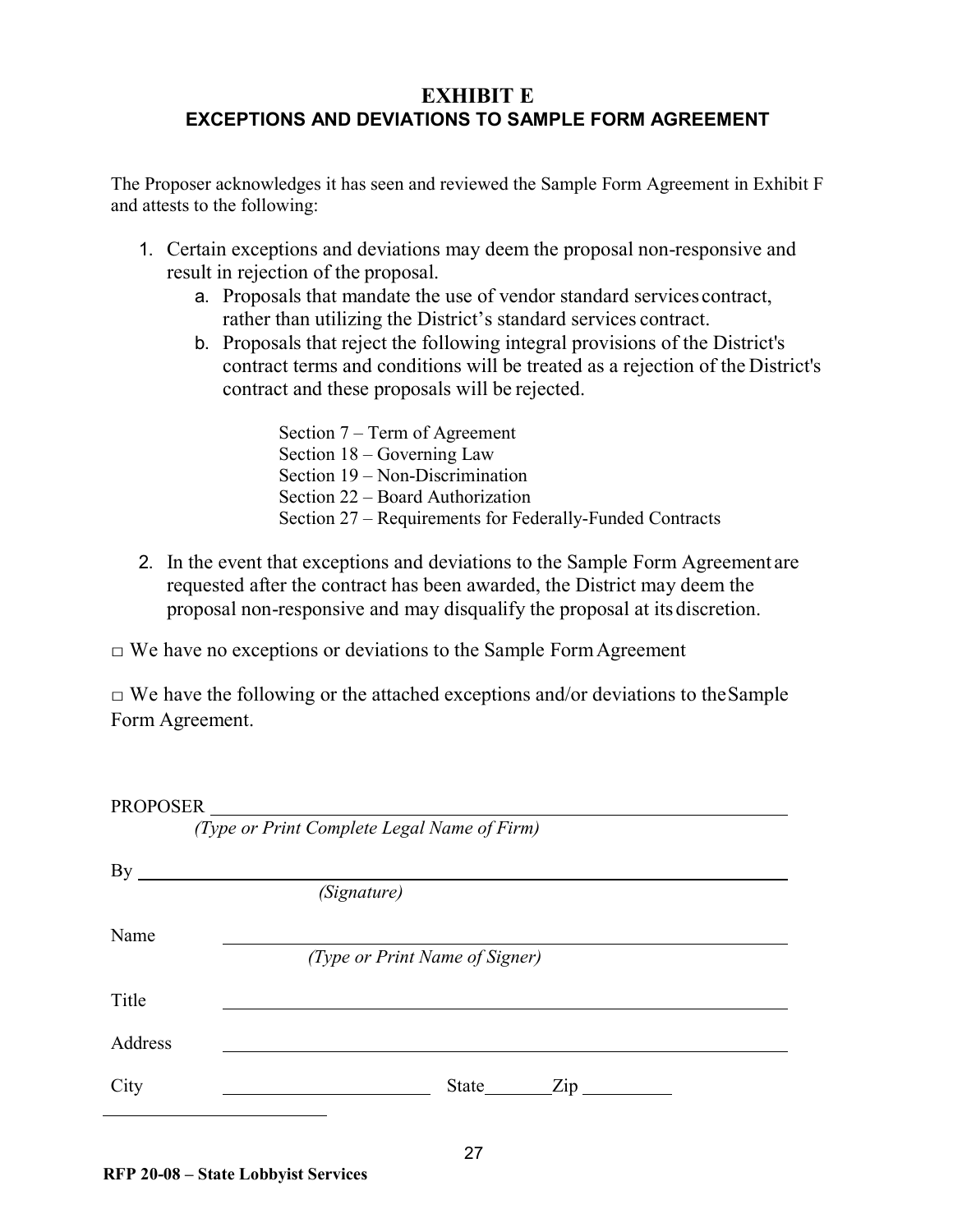## <span id="page-26-0"></span>**EXHIBIT E EXCEPTIONS AND DEVIATIONS TO SAMPLE FORM AGREEMENT**

The Proposer acknowledges it has seen and reviewed the Sample Form Agreement in Exhibit F and attests to the following:

- 1. Certain exceptions and deviations may deem the proposal non-responsive and result in rejection of the proposal.
	- a. Proposals that mandate the use of vendor standard services contract, rather than utilizing the District's standard services contract.
	- b. Proposals that reject the following integral provisions of the District's contract terms and conditions will be treated as a rejection of the District's contract and these proposals will be rejected.

Section 7 – Term of Agreement Section 18 – Governing Law Section 19 – Non-Discrimination Section 22 – Board Authorization Section 27 – Requirements for Federally-Funded Contracts

2. In the event that exceptions and deviations to the Sample Form Agreement are requested after the contract has been awarded, the District may deem the proposal non-responsive and may disqualify the proposal at its discretion.

 $\Box$  We have no exceptions or deviations to the Sample Form Agreement

 $\Box$  We have the following or the attached exceptions and/or deviations to the Sample Form Agreement.

| <b>PROPOSER</b> |                                             |
|-----------------|---------------------------------------------|
|                 | (Type or Print Complete Legal Name of Firm) |
| By              |                                             |
|                 | (Signature)                                 |
| Name            |                                             |
|                 | (Type or Print Name of Signer)              |
| Title           |                                             |
| Address         |                                             |
| City            | $\mathop{\mathrm {Zip}}\nolimits$<br>State  |
|                 |                                             |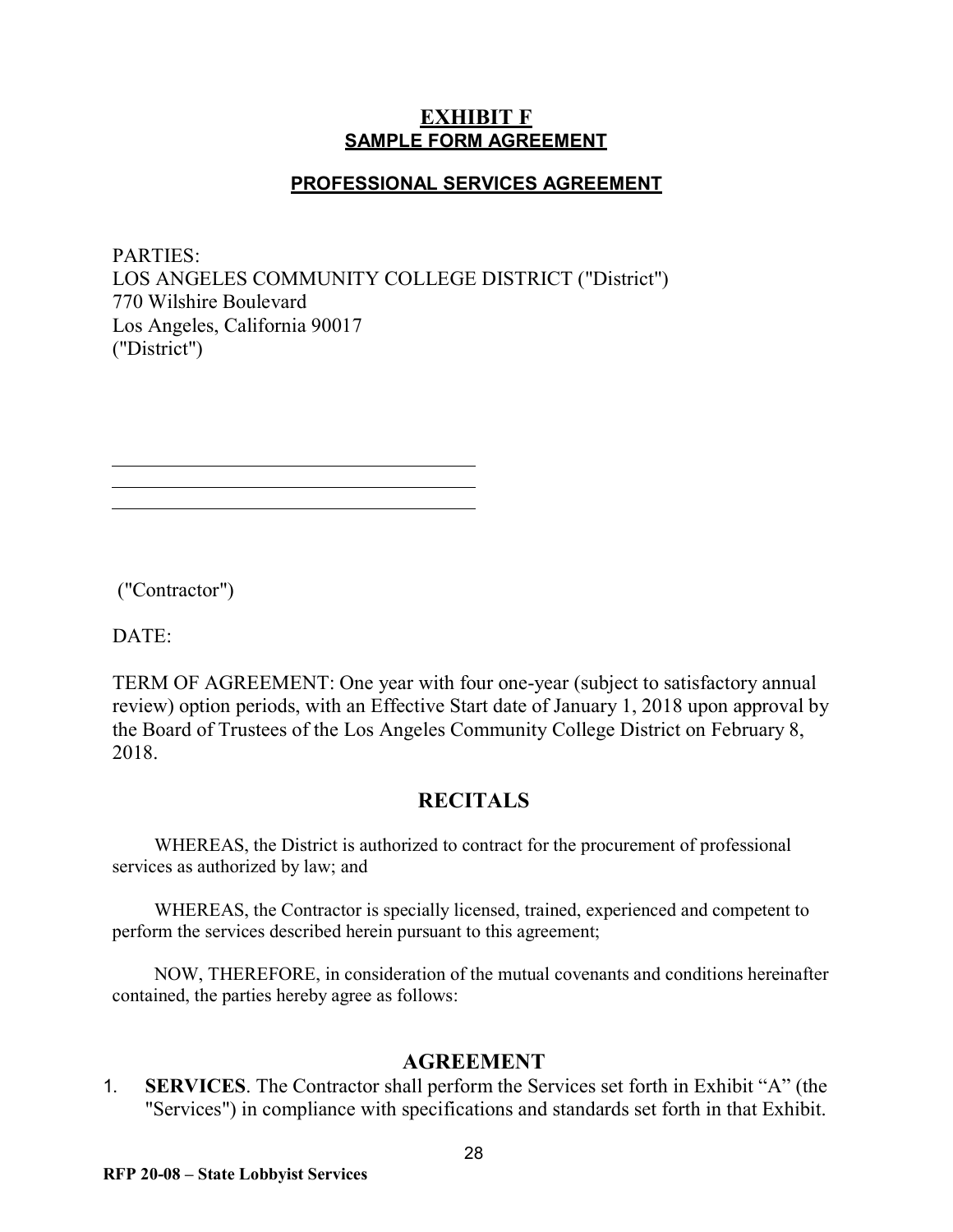### **EXHIBIT F SAMPLE FORM AGREEMENT**

### **PROFESSIONAL SERVICES AGREEMENT**

<span id="page-27-0"></span>PARTIES: LOS ANGELES COMMUNITY COLLEGE DISTRICT ("District") 770 Wilshire Boulevard Los Angeles, California 90017 ("District")

("Contractor")

DATE:

TERM OF AGREEMENT: One year with four one-year (subject to satisfactory annual review) option periods, with an Effective Start date of January 1, 2018 upon approval by the Board of Trustees of the Los Angeles Community College District on February 8, 2018.

## **RECITALS**

WHEREAS, the District is authorized to contract for the procurement of professional services as authorized by law; and

WHEREAS, the Contractor is specially licensed, trained, experienced and competent to perform the services described herein pursuant to this agreement;

NOW, THEREFORE, in consideration of the mutual covenants and conditions hereinafter contained, the parties hereby agree as follows:

#### **AGREEMENT**

1. **SERVICES**. The Contractor shall perform the Services set forth in Exhibit "A" (the "Services") in compliance with specifications and standards set forth in that Exhibit.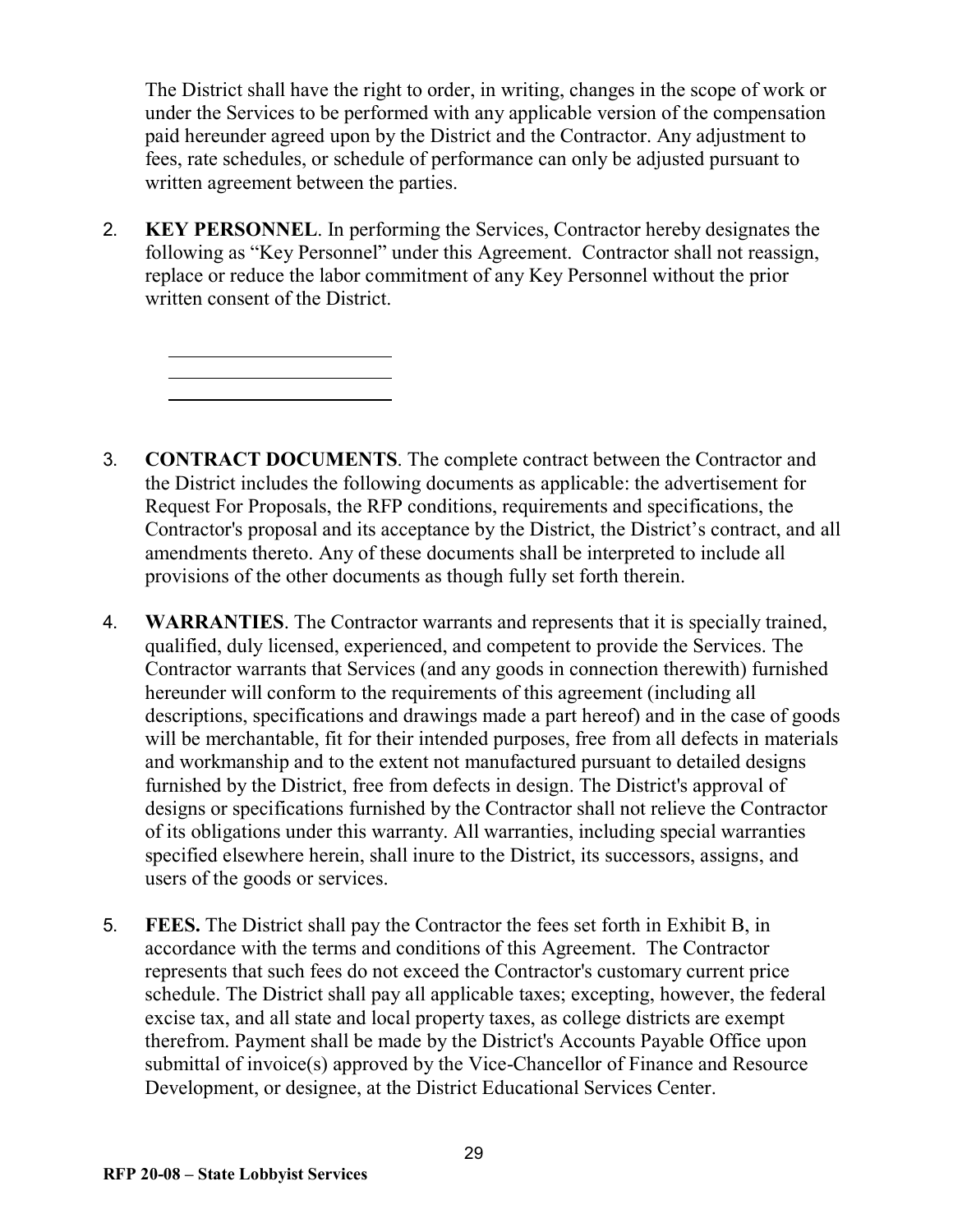The District shall have the right to order, in writing, changes in the scope of work or under the Services to be performed with any applicable version of the compensation paid hereunder agreed upon by the District and the Contractor. Any adjustment to fees, rate schedules, or schedule of performance can only be adjusted pursuant to written agreement between the parties.

2. **KEY PERSONNEL**. In performing the Services, Contractor hereby designates the following as "Key Personnel" under this Agreement. Contractor shall not reassign, replace or reduce the labor commitment of any Key Personnel without the prior written consent of the District.

- 3. **CONTRACT DOCUMENTS**. The complete contract between the Contractor and the District includes the following documents as applicable: the advertisement for Request For Proposals, the RFP conditions, requirements and specifications, the Contractor's proposal and its acceptance by the District, the District's contract, and all amendments thereto. Any of these documents shall be interpreted to include all provisions of the other documents as though fully set forth therein.
- 4. **WARRANTIES**. The Contractor warrants and represents that it is specially trained, qualified, duly licensed, experienced, and competent to provide the Services. The Contractor warrants that Services (and any goods in connection therewith) furnished hereunder will conform to the requirements of this agreement (including all descriptions, specifications and drawings made a part hereof) and in the case of goods will be merchantable, fit for their intended purposes, free from all defects in materials and workmanship and to the extent not manufactured pursuant to detailed designs furnished by the District, free from defects in design. The District's approval of designs or specifications furnished by the Contractor shall not relieve the Contractor of its obligations under this warranty. All warranties, including special warranties specified elsewhere herein, shall inure to the District, its successors, assigns, and users of the goods or services.
- 5. **FEES.** The District shall pay the Contractor the fees set forth in Exhibit B, in accordance with the terms and conditions of this Agreement. The Contractor represents that such fees do not exceed the Contractor's customary current price schedule. The District shall pay all applicable taxes; excepting, however, the federal excise tax, and all state and local property taxes, as college districts are exempt therefrom. Payment shall be made by the District's Accounts Payable Office upon submittal of invoice(s) approved by the Vice-Chancellor of Finance and Resource Development, or designee, at the District Educational Services Center.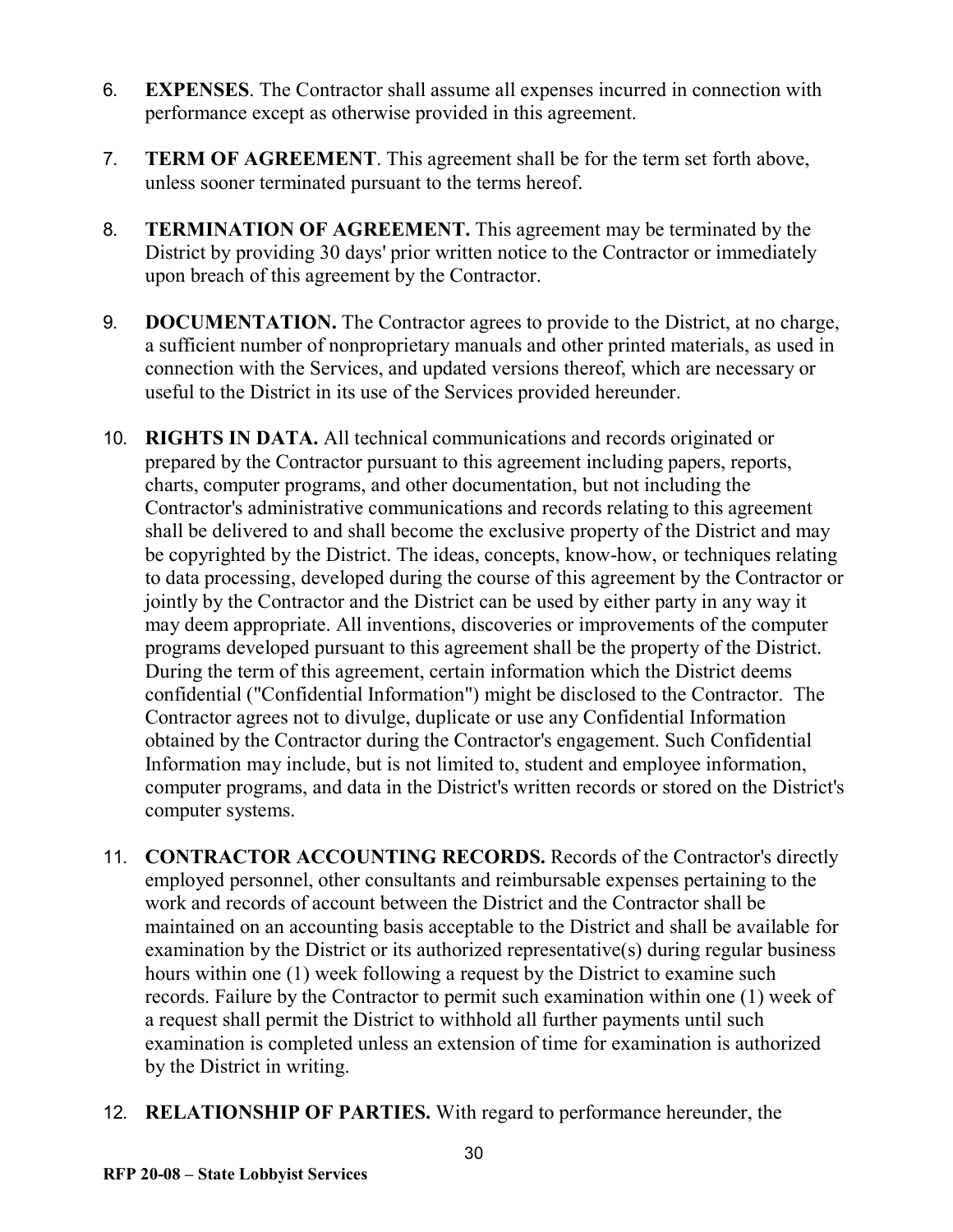- 6. **EXPENSES**. The Contractor shall assume all expenses incurred in connection with performance except as otherwise provided in this agreement.
- 7. **TERM OF AGREEMENT**. This agreement shall be for the term set forth above, unless sooner terminated pursuant to the terms hereof.
- 8. **TERMINATION OF AGREEMENT.** This agreement may be terminated by the District by providing 30 days' prior written notice to the Contractor or immediately upon breach of this agreement by the Contractor.
- 9. **DOCUMENTATION.** The Contractor agrees to provide to the District, at no charge, a sufficient number of nonproprietary manuals and other printed materials, as used in connection with the Services, and updated versions thereof, which are necessary or useful to the District in its use of the Services provided hereunder.
- 10. **RIGHTS IN DATA.** All technical communications and records originated or prepared by the Contractor pursuant to this agreement including papers, reports, charts, computer programs, and other documentation, but not including the Contractor's administrative communications and records relating to this agreement shall be delivered to and shall become the exclusive property of the District and may be copyrighted by the District. The ideas, concepts, know-how, or techniques relating to data processing, developed during the course of this agreement by the Contractor or jointly by the Contractor and the District can be used by either party in any way it may deem appropriate. All inventions, discoveries or improvements of the computer programs developed pursuant to this agreement shall be the property of the District. During the term of this agreement, certain information which the District deems confidential ("Confidential Information") might be disclosed to the Contractor. The Contractor agrees not to divulge, duplicate or use any Confidential Information obtained by the Contractor during the Contractor's engagement. Such Confidential Information may include, but is not limited to, student and employee information, computer programs, and data in the District's written records or stored on the District's computer systems.
- 11. **CONTRACTOR ACCOUNTING RECORDS.** Records of the Contractor's directly employed personnel, other consultants and reimbursable expenses pertaining to the work and records of account between the District and the Contractor shall be maintained on an accounting basis acceptable to the District and shall be available for examination by the District or its authorized representative(s) during regular business hours within one (1) week following a request by the District to examine such records. Failure by the Contractor to permit such examination within one (1) week of a request shall permit the District to withhold all further payments until such examination is completed unless an extension of time for examination is authorized by the District in writing.
- 12. **RELATIONSHIP OF PARTIES.** With regard to performance hereunder, the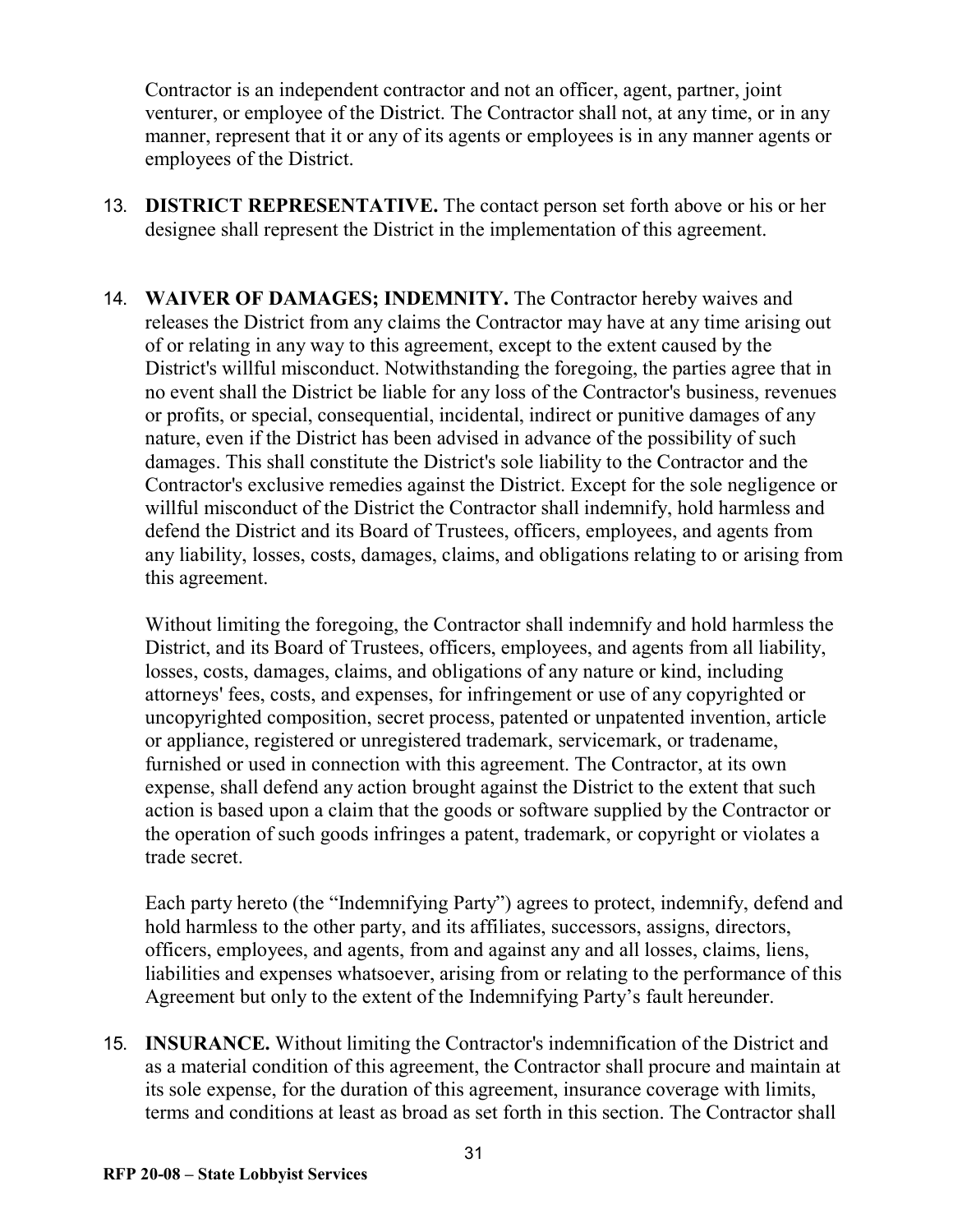Contractor is an independent contractor and not an officer, agent, partner, joint venturer, or employee of the District. The Contractor shall not, at any time, or in any manner, represent that it or any of its agents or employees is in any manner agents or employees of the District.

- 13. **DISTRICT REPRESENTATIVE.** The contact person set forth above or his or her designee shall represent the District in the implementation of this agreement.
- 14. **WAIVER OF DAMAGES; INDEMNITY.** The Contractor hereby waives and releases the District from any claims the Contractor may have at any time arising out of or relating in any way to this agreement, except to the extent caused by the District's willful misconduct. Notwithstanding the foregoing, the parties agree that in no event shall the District be liable for any loss of the Contractor's business, revenues or profits, or special, consequential, incidental, indirect or punitive damages of any nature, even if the District has been advised in advance of the possibility of such damages. This shall constitute the District's sole liability to the Contractor and the Contractor's exclusive remedies against the District. Except for the sole negligence or willful misconduct of the District the Contractor shall indemnify, hold harmless and defend the District and its Board of Trustees, officers, employees, and agents from any liability, losses, costs, damages, claims, and obligations relating to or arising from this agreement.

Without limiting the foregoing, the Contractor shall indemnify and hold harmless the District, and its Board of Trustees, officers, employees, and agents from all liability, losses, costs, damages, claims, and obligations of any nature or kind, including attorneys' fees, costs, and expenses, for infringement or use of any copyrighted or uncopyrighted composition, secret process, patented or unpatented invention, article or appliance, registered or unregistered trademark, servicemark, or tradename, furnished or used in connection with this agreement. The Contractor, at its own expense, shall defend any action brought against the District to the extent that such action is based upon a claim that the goods or software supplied by the Contractor or the operation of such goods infringes a patent, trademark, or copyright or violates a trade secret.

Each party hereto (the "Indemnifying Party") agrees to protect, indemnify, defend and hold harmless to the other party, and its affiliates, successors, assigns, directors, officers, employees, and agents, from and against any and all losses, claims, liens, liabilities and expenses whatsoever, arising from or relating to the performance of this Agreement but only to the extent of the Indemnifying Party's fault hereunder.

15. **INSURANCE.** Without limiting the Contractor's indemnification of the District and as a material condition of this agreement, the Contractor shall procure and maintain at its sole expense, for the duration of this agreement, insurance coverage with limits, terms and conditions at least as broad as set forth in this section. The Contractor shall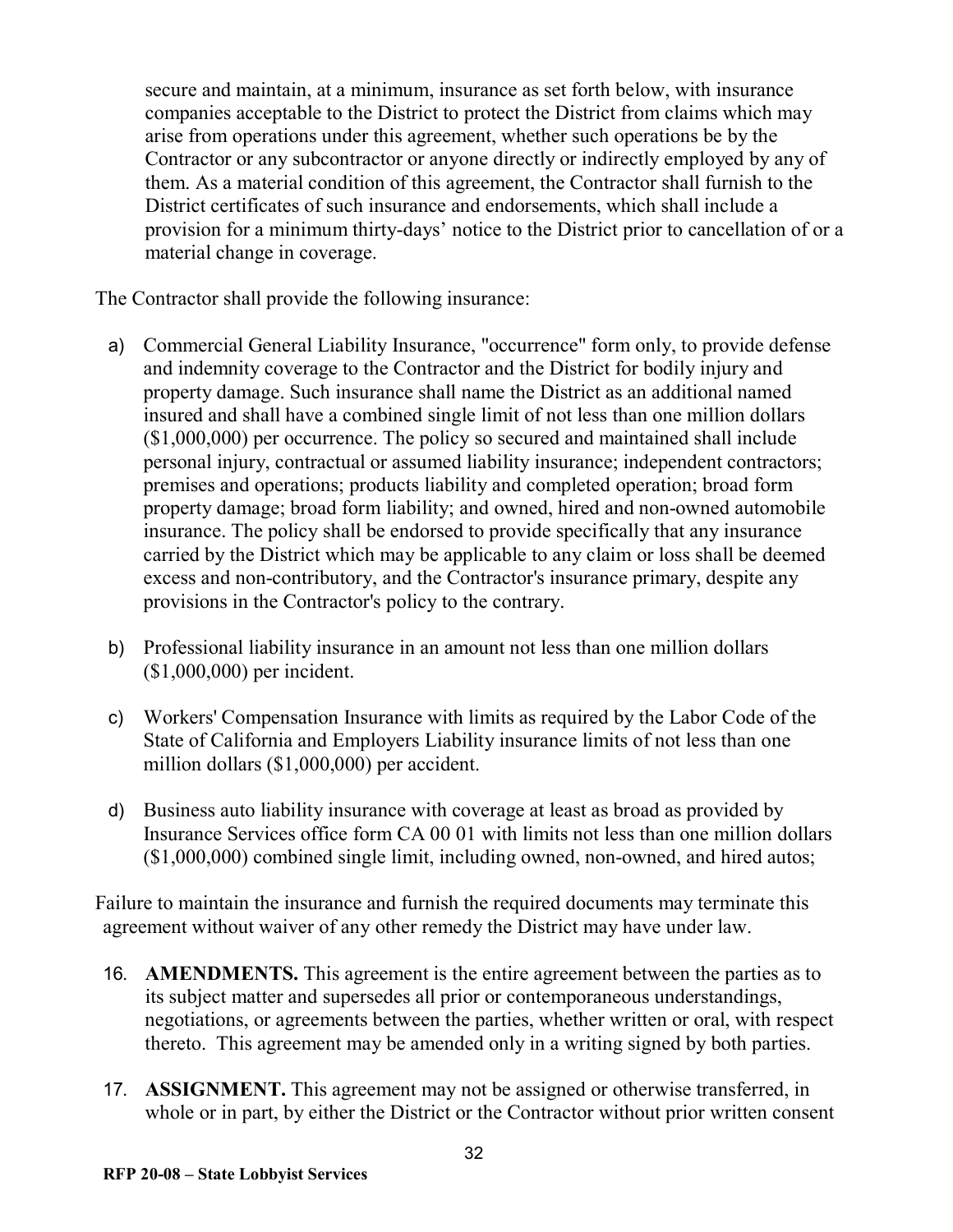secure and maintain, at a minimum, insurance as set forth below, with insurance companies acceptable to the District to protect the District from claims which may arise from operations under this agreement, whether such operations be by the Contractor or any subcontractor or anyone directly or indirectly employed by any of them. As a material condition of this agreement, the Contractor shall furnish to the District certificates of such insurance and endorsements, which shall include a provision for a minimum thirty-days' notice to the District prior to cancellation of or a material change in coverage.

The Contractor shall provide the following insurance:

- a) Commercial General Liability Insurance, "occurrence" form only, to provide defense and indemnity coverage to the Contractor and the District for bodily injury and property damage. Such insurance shall name the District as an additional named insured and shall have a combined single limit of not less than one million dollars (\$1,000,000) per occurrence. The policy so secured and maintained shall include personal injury, contractual or assumed liability insurance; independent contractors; premises and operations; products liability and completed operation; broad form property damage; broad form liability; and owned, hired and non-owned automobile insurance. The policy shall be endorsed to provide specifically that any insurance carried by the District which may be applicable to any claim or loss shall be deemed excess and non-contributory, and the Contractor's insurance primary, despite any provisions in the Contractor's policy to the contrary.
- b) Professional liability insurance in an amount not less than one million dollars (\$1,000,000) per incident.
- c) Workers' Compensation Insurance with limits as required by the Labor Code of the State of California and Employers Liability insurance limits of not less than one million dollars (\$1,000,000) per accident.
- d) Business auto liability insurance with coverage at least as broad as provided by Insurance Services office form CA 00 01 with limits not less than one million dollars (\$1,000,000) combined single limit, including owned, non-owned, and hired autos;

Failure to maintain the insurance and furnish the required documents may terminate this agreement without waiver of any other remedy the District may have under law.

- 16. **AMENDMENTS.** This agreement is the entire agreement between the parties as to its subject matter and supersedes all prior or contemporaneous understandings, negotiations, or agreements between the parties, whether written or oral, with respect thereto. This agreement may be amended only in a writing signed by both parties.
- 17. **ASSIGNMENT.** This agreement may not be assigned or otherwise transferred, in whole or in part, by either the District or the Contractor without prior written consent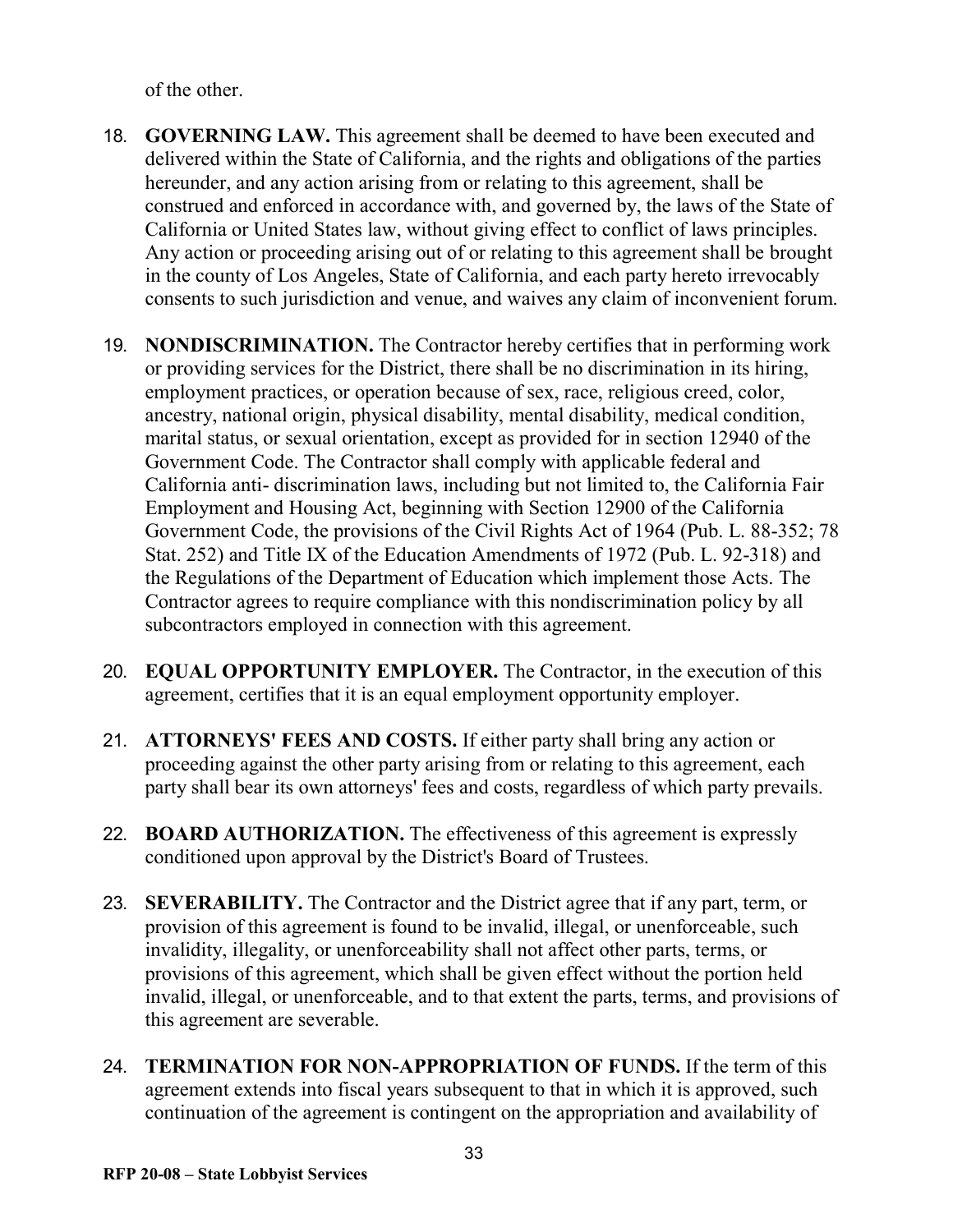of the other.

- 18. **GOVERNING LAW.** This agreement shall be deemed to have been executed and delivered within the State of California, and the rights and obligations of the parties hereunder, and any action arising from or relating to this agreement, shall be construed and enforced in accordance with, and governed by, the laws of the State of California or United States law, without giving effect to conflict of laws principles. Any action or proceeding arising out of or relating to this agreement shall be brought in the county of Los Angeles, State of California, and each party hereto irrevocably consents to such jurisdiction and venue, and waives any claim of inconvenient forum.
- 19. **NONDISCRIMINATION.** The Contractor hereby certifies that in performing work or providing services for the District, there shall be no discrimination in its hiring, employment practices, or operation because of sex, race, religious creed, color, ancestry, national origin, physical disability, mental disability, medical condition, marital status, or sexual orientation, except as provided for in section 12940 of the Government Code. The Contractor shall comply with applicable federal and California anti- discrimination laws, including but not limited to, the California Fair Employment and Housing Act, beginning with Section 12900 of the California Government Code, the provisions of the Civil Rights Act of 1964 (Pub. L. 88-352; 78 Stat. 252) and Title IX of the Education Amendments of 1972 (Pub. L. 92-318) and the Regulations of the Department of Education which implement those Acts. The Contractor agrees to require compliance with this nondiscrimination policy by all subcontractors employed in connection with this agreement.
- 20. **EQUAL OPPORTUNITY EMPLOYER.** The Contractor, in the execution of this agreement, certifies that it is an equal employment opportunity employer.
- 21. **ATTORNEYS' FEES AND COSTS.** If either party shall bring any action or proceeding against the other party arising from or relating to this agreement, each party shall bear its own attorneys' fees and costs, regardless of which party prevails.
- 22. **BOARD AUTHORIZATION.** The effectiveness of this agreement is expressly conditioned upon approval by the District's Board of Trustees.
- 23. **SEVERABILITY.** The Contractor and the District agree that if any part, term, or provision of this agreement is found to be invalid, illegal, or unenforceable, such invalidity, illegality, or unenforceability shall not affect other parts, terms, or provisions of this agreement, which shall be given effect without the portion held invalid, illegal, or unenforceable, and to that extent the parts, terms, and provisions of this agreement are severable.
- 24. **TERMINATION FOR NON-APPROPRIATION OF FUNDS.** If the term of this agreement extends into fiscal years subsequent to that in which it is approved, such continuation of the agreement is contingent on the appropriation and availability of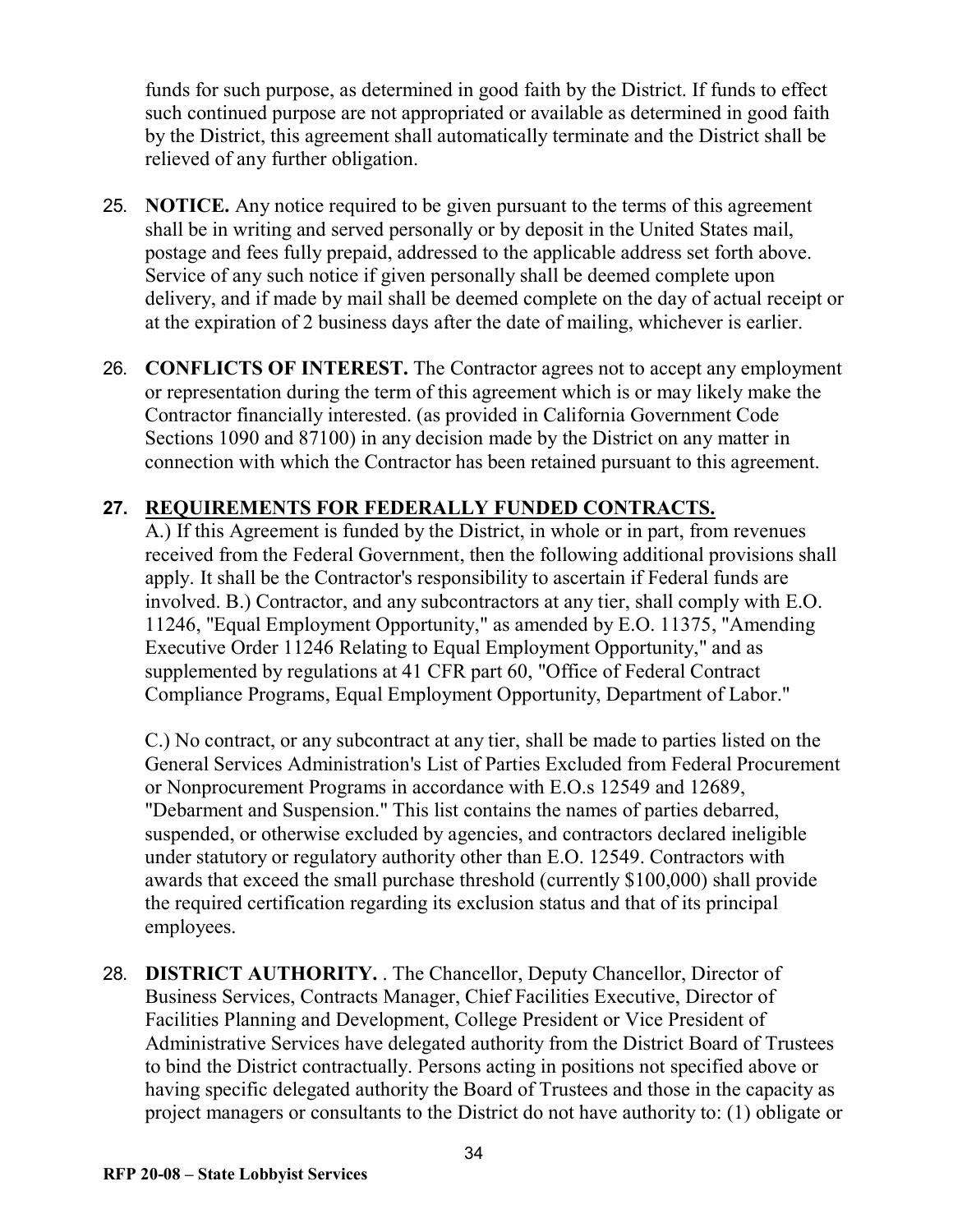funds for such purpose, as determined in good faith by the District. If funds to effect such continued purpose are not appropriated or available as determined in good faith by the District, this agreement shall automatically terminate and the District shall be relieved of any further obligation.

- 25. **NOTICE.** Any notice required to be given pursuant to the terms of this agreement shall be in writing and served personally or by deposit in the United States mail, postage and fees fully prepaid, addressed to the applicable address set forth above. Service of any such notice if given personally shall be deemed complete upon delivery, and if made by mail shall be deemed complete on the day of actual receipt or at the expiration of 2 business days after the date of mailing, whichever is earlier.
- 26. **CONFLICTS OF INTEREST.** The Contractor agrees not to accept any employment or representation during the term of this agreement which is or may likely make the Contractor financially interested. (as provided in California Government Code Sections 1090 and 87100) in any decision made by the District on any matter in connection with which the Contractor has been retained pursuant to this agreement.

## **27. REQUIREMENTS FOR FEDERALLY FUNDED CONTRACTS.**

A.) If this Agreement is funded by the District, in whole or in part, from revenues received from the Federal Government, then the following additional provisions shall apply. It shall be the Contractor's responsibility to ascertain if Federal funds are involved. B.) Contractor, and any subcontractors at any tier, shall comply with E.O. 11246, "Equal Employment Opportunity," as amended by E.O. 11375, "Amending Executive Order 11246 Relating to Equal Employment Opportunity," and as supplemented by regulations at 41 CFR part 60, "Office of Federal Contract Compliance Programs, Equal Employment Opportunity, Department of Labor."

C.) No contract, or any subcontract at any tier, shall be made to parties listed on the General Services Administration's List of Parties Excluded from Federal Procurement or Nonprocurement Programs in accordance with E.O.s 12549 and 12689, "Debarment and Suspension." This list contains the names of parties debarred, suspended, or otherwise excluded by agencies, and contractors declared ineligible under statutory or regulatory authority other than E.O. 12549. Contractors with awards that exceed the small purchase threshold (currently \$100,000) shall provide the required certification regarding its exclusion status and that of its principal employees.

28. **DISTRICT AUTHORITY.** . The Chancellor, Deputy Chancellor, Director of Business Services, Contracts Manager, Chief Facilities Executive, Director of Facilities Planning and Development, College President or Vice President of Administrative Services have delegated authority from the District Board of Trustees to bind the District contractually. Persons acting in positions not specified above or having specific delegated authority the Board of Trustees and those in the capacity as project managers or consultants to the District do not have authority to: (1) obligate or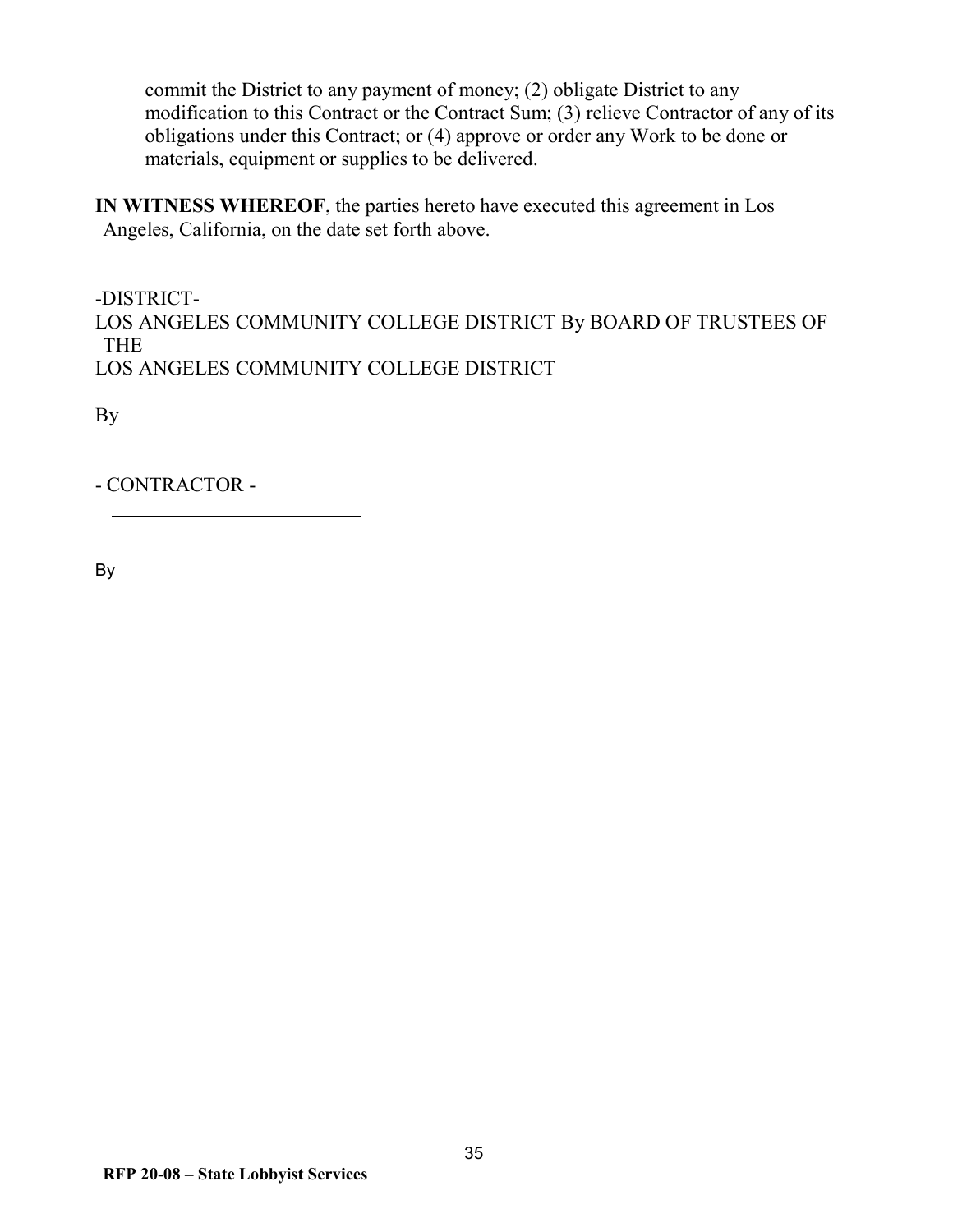commit the District to any payment of money; (2) obligate District to any modification to this Contract or the Contract Sum; (3) relieve Contractor of any of its obligations under this Contract; or (4) approve or order any Work to be done or materials, equipment or supplies to be delivered.

**IN WITNESS WHEREOF**, the parties hereto have executed this agreement in Los Angeles, California, on the date set forth above.

-DISTRICT-LOS ANGELES COMMUNITY COLLEGE DISTRICT By BOARD OF TRUSTEES OF THE LOS ANGELES COMMUNITY COLLEGE DISTRICT

By

- CONTRACTOR -

By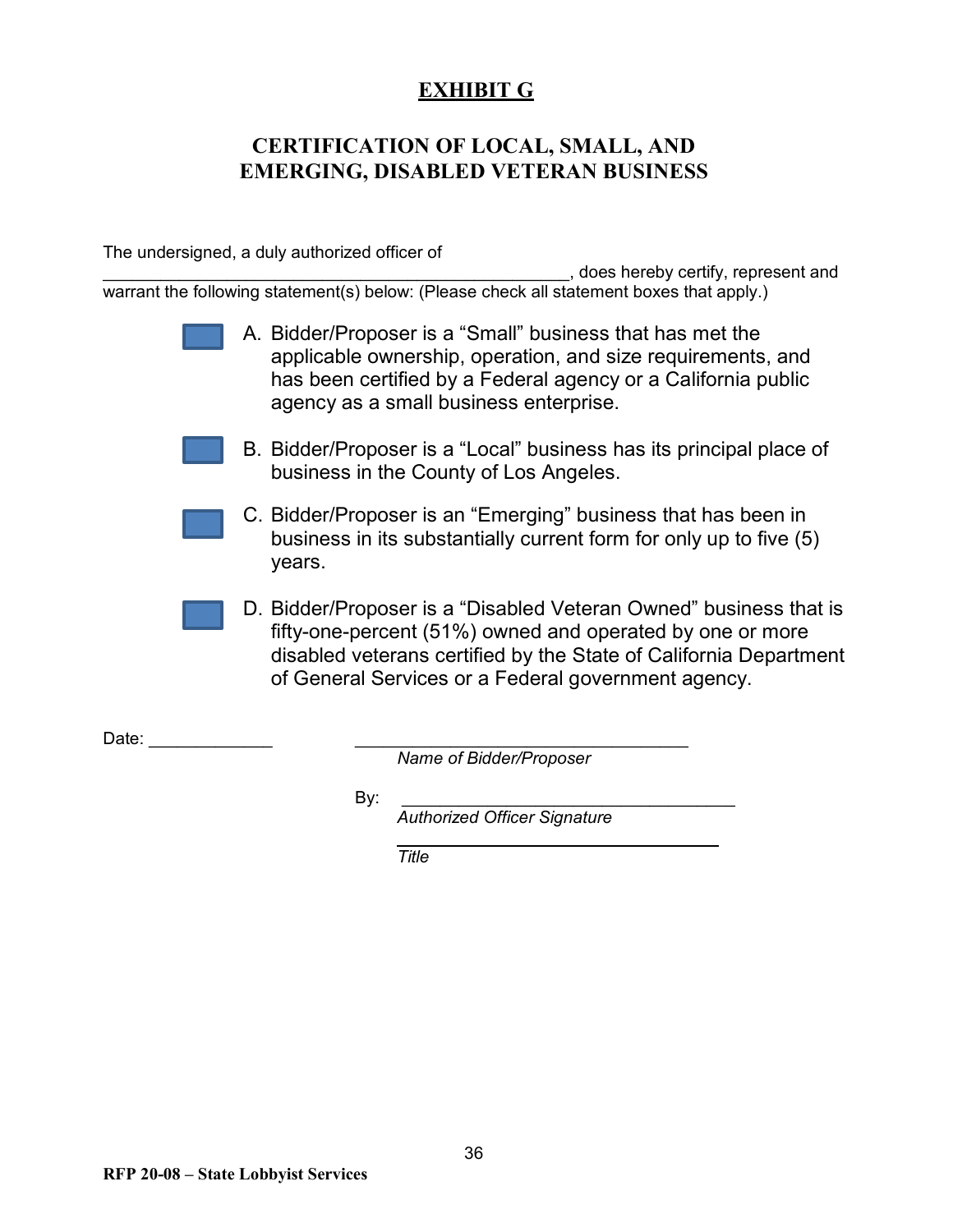## **EXHIBIT G**

## <span id="page-35-0"></span>**CERTIFICATION OF LOCAL, SMALL, AND EMERGING, DISABLED VETERAN BUSINESS**

The undersigned, a duly authorized officer of

\_\_\_\_\_\_\_\_\_\_\_\_\_\_\_\_\_\_\_\_\_\_\_\_\_\_\_\_\_\_\_\_\_\_\_\_\_\_\_\_\_\_\_\_\_\_\_\_\_, does hereby certify, represent and warrant the following statement(s) below: (Please check all statement boxes that apply.)

- A. Bidder/Proposer is a "Small" business that has met the applicable ownership, operation, and size requirements, and has been certified by a Federal agency or a California public agency as a small business enterprise.
- B. Bidder/Proposer is a "Local" business has its principal place of business in the County of Los Angeles.
- C. Bidder/Proposer is an "Emerging" business that has been in business in its substantially current form for only up to five (5) years.
- D. Bidder/Proposer is a "Disabled Veteran Owned" business that is fifty-one-percent (51%) owned and operated by one or more disabled veterans certified by the State of California Department of General Services or a Federal government agency.

<span id="page-35-1"></span>Date:  $\Box$ 

*Name of Bidder/Proposer*

By: \_\_\_\_\_\_\_\_\_\_\_\_\_\_\_\_\_\_\_\_\_\_\_\_\_\_\_\_\_\_\_\_\_\_\_

*Authorized Officer Signature*

*Title*